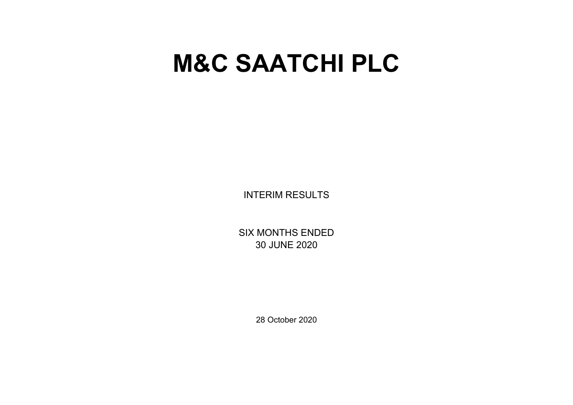# **M&C SAATCHI PLC**

INTERIM RESULTS

SIX MONTHS ENDED 30 JUNE 2020

28 October 2020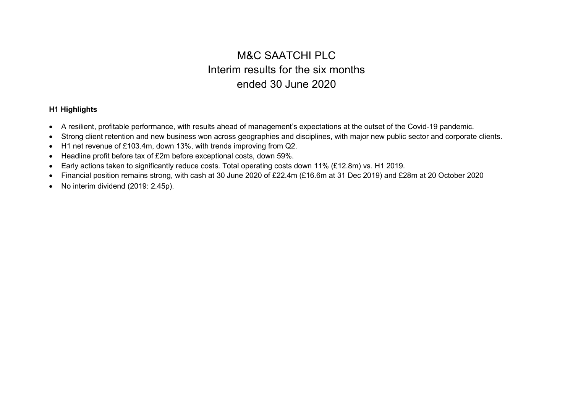# M&C SAATCHI PLC Interim results for the six months ended 30 June 2020

## **H1 Highlights**

- A resilient, profitable performance, with results ahead of management's expectations at the outset of the Covid-19 pandemic.
- Strong client retention and new business won across geographies and disciplines, with major new public sector and corporate clients.
- H1 net revenue of £103.4m, down 13%, with trends improving from Q2.
- Headline profit before tax of £2m before exceptional costs, down 59%.
- Early actions taken to significantly reduce costs. Total operating costs down 11% (£12.8m) vs. H1 2019.
- Financial position remains strong, with cash at 30 June 2020 of £22.4m (£16.6m at 31 Dec 2019) and £28m at 20 October 2020
- No interim dividend (2019: 2.45p).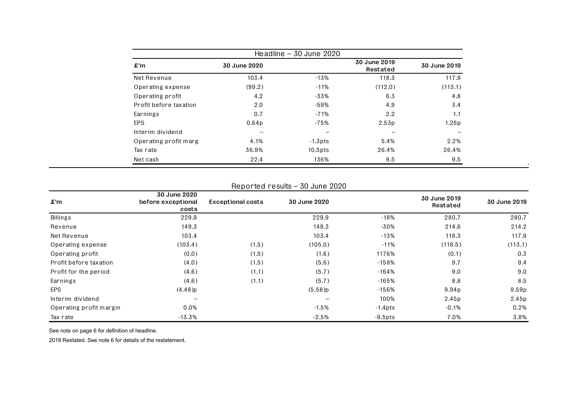|                        |                   | Headline $-30$ June 2020 |                          |              |
|------------------------|-------------------|--------------------------|--------------------------|--------------|
| $\pmb{\pmb{m}}$        | 30 June 2020      |                          | 30 June 2019<br>Restated | 30 June 2019 |
| Net Revenue            | 103.4             | $-13%$                   | 118.3                    | 117.9        |
| Operating expense      | (99.2)            | $-11%$                   | (112.0)                  | (113.1)      |
| Operating profit       | 4.2               | $-33%$                   | 6.3                      | 4.8          |
| Profit before taxation | 2.0               | $-59%$                   | 4.9                      | 3.4          |
| Earnings               | 0.7               | $-71%$                   | 2.2                      | 1.1          |
| <b>EPS</b>             | 0.64 <sub>p</sub> | -75%                     | 2.53p                    | 1.26p        |
| Interim dividend       |                   |                          |                          |              |
| Operating profit marg  | 4.1%              | $-1.3$ pts               | 5.4%                     | 2.2%         |
| Tax rate               | 36.9%             | $10.5$ pts               | 26.4%                    | 26.4%        |
| Net cash               | 22.4              | 136%                     | 9.5                      | 9.5          |

 $\mathcal{L}_{\mathbf{a}}$ 

## Reported results – 30 June 2020

| £'m                     | 30 June 2020<br>before exceptional<br>costs | <b>Exceptional costs</b> | 30 June 2020             |            | 30 June 2019<br>Restated | 30 June 2019      |
|-------------------------|---------------------------------------------|--------------------------|--------------------------|------------|--------------------------|-------------------|
| <b>Billings</b>         | 229.9                                       |                          | 229.9                    | -18%       | 280.7                    | 280.7             |
| Revenue                 | 149.3                                       |                          | 149.3                    | -30%       | 214.6                    | 214.2             |
| Net Revenue             | 103.4                                       |                          | 103.4                    | -13%       | 118.3                    | 117.9             |
| Operating expense       | (103.4)                                     | (1.5)                    | (105.0)                  | $-11%$     | (118.5)                  | (113.1)           |
| Operating profit        | (0.0)                                       | (1.5)                    | (1.6)                    | 1176%      | (0.1)                    | 0.3               |
| Profit before taxation  | (4.0)                                       | (1.5)                    | (5.6)                    | $-158%$    | 9.7                      | 9.4               |
| Profit for the period   | (4.6)                                       | (1.1)                    | (5.7)                    | $-164%$    | 9.0                      | 9.0               |
| Earnings                | (4.6)                                       | (1.1)                    | (5.7)                    | $-165%$    | 8.8                      | 8.5               |
| <b>EPS</b>              | (4.48)p                                     |                          | $(5.58)$ p               | $-156%$    | 9.94p                    | 9.59 <sub>p</sub> |
| Interim dividend        |                                             |                          | $\overline{\phantom{0}}$ | 100%       | 2.45p                    | 2.45p             |
| Operating profit margin | 0.0%                                        |                          | $-1.5%$                  | $-1.4$ pts | $-0.1%$                  | 0.2%              |
| Tax rate                | $-13.3%$                                    |                          | $-2.5%$                  | $-9.5$ pts | 7.0%                     | 3.8%              |

See note on page 6 for definition of headline.

2019 Restated. See note 6 for details of the restatement.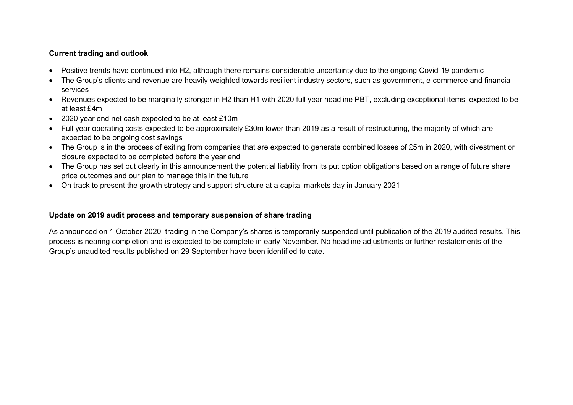## **Current trading and outlook**

- Positive trends have continued into H2, although there remains considerable uncertainty due to the ongoing Covid-19 pandemic
- The Group's clients and revenue are heavily weighted towards resilient industry sectors, such as government, e-commerce and financial services
- Revenues expected to be marginally stronger in H2 than H1 with 2020 full year headline PBT, excluding exceptional items, expected to be at least £4m
- 2020 year end net cash expected to be at least £10m
- Full year operating costs expected to be approximately £30m lower than 2019 as a result of restructuring, the majority of which are expected to be ongoing cost savings
- The Group is in the process of exiting from companies that are expected to generate combined losses of £5m in 2020, with divestment or closure expected to be completed before the year end
- The Group has set out clearly in this announcement the potential liability from its put option obligations based on a range of future share price outcomes and our plan to manage this in the future
- On track to present the growth strategy and support structure at a capital markets day in January 2021

## **Update on 2019 audit process and temporary suspension of share trading**

As announced on 1 October 2020, trading in the Company's shares is temporarily suspended until publication of the 2019 audited results. This process is nearing completion and is expected to be complete in early November. No headline adjustments or further restatements of the Group's unaudited results published on 29 September have been identified to date.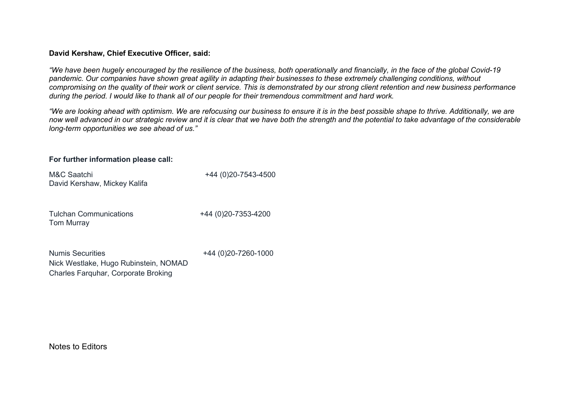## **David Kershaw, Chief Executive Officer, said:**

*"We have been hugely encouraged by the resilience of the business, both operationally and financially, in the face of the global Covid-19 pandemic. Our companies have shown great agility in adapting their businesses to these extremely challenging conditions, without compromising on the quality of their work or client service. This is demonstrated by our strong client retention and new business performance during the period. I would like to thank all of our people for their tremendous commitment and hard work.*

*"We are looking ahead with optimism. We are refocusing our business to ensure it is in the best possible shape to thrive. Additionally, we are now well advanced in our strategic review and it is clear that we have both the strength and the potential to take advantage of the considerable long-term opportunities we see ahead of us."*

## **For further information please call:**

| M&C Saatchi<br>David Kershaw, Mickey Kalifa                                                             | +44 (0)20-7543-4500      |
|---------------------------------------------------------------------------------------------------------|--------------------------|
| <b>Tulchan Communications</b><br><b>Tom Murray</b>                                                      | +44 (0) 20 - 7353 - 4200 |
| <b>Numis Securities</b><br>Nick Westlake, Hugo Rubinstein, NOMAD<br>Charles Farquhar, Corporate Broking | +44 (0)20-7260-1000      |

Notes to Editors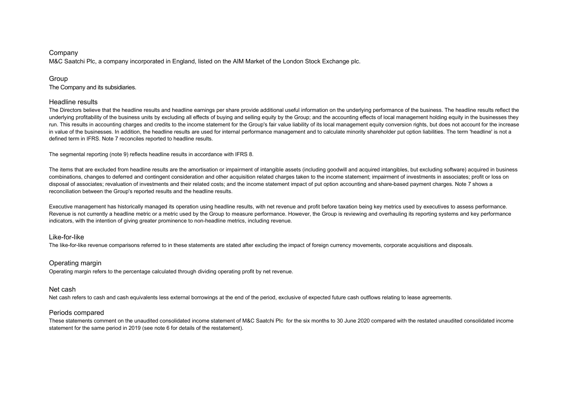#### Company

M&C Saatchi Plc, a company incorporated in England, listed on the AIM Market of the London Stock Exchange plc.

#### Group

The Company and its subsidiaries.

#### Headline results

The Directors believe that the headline results and headline earnings per share provide additional useful information on the underlying performance of the business. The headline results reflect the underlying profitability of the business units by excluding all effects of buying and selling equity by the Group; and the accounting effects of local management holding equity in the businesses they run. This results in accounting charges and credits to the income statement for the Group's fair value liability of its local management equity conversion rights, but does not account for the increase in value of the businesses. In addition, the headline results are used for internal performance management and to calculate minority shareholder put option liabilities. The term 'headline' is not a defined term in IFRS. Note 7 reconciles reported to headline results.

The segmental reporting (note 9) reflects headline results in accordance with IFRS 8.

The items that are excluded from headline results are the amortisation or impairment of intangible assets (including goodwill and acquired intangibles, but excluding software) acquired in business combinations, changes to deferred and contingent consideration and other acquisition related charges taken to the income statement; impairment of investments in associates; profit or loss on disposal of associates; revaluation of investments and their related costs; and the income statement impact of put option accounting and share-based payment charges. Note 7 shows a reconciliation between the Group's reported results and the headline results.

Executive management has historically managed its operation using headline results, with net revenue and profit before taxation being key metrics used by executives to assess performance. Revenue is not currently a headline metric or a metric used by the Group to measure performance. However, the Group is reviewing and overhauling its reporting systems and key performance indicators, with the intention of giving greater prominence to non-headline metrics, including revenue.

#### Like-for-like

The like-for-like revenue comparisons referred to in these statements are stated after excluding the impact of foreign currency movements, corporate acquisitions and disposals.

#### Operating margin

Operating margin refers to the percentage calculated through dividing operating profit by net revenue.

#### Net cash

Net cash refers to cash and cash equivalents less external borrowings at the end of the period, exclusive of expected future cash outflows relating to lease agreements.

#### Periods compared

These statements comment on the unaudited consolidated income statement of M&C Saatchi Plc for the six months to 30 June 2020 compared with the restated unaudited consolidated income statement for the same period in 2019 (see note 6 for details of the restatement).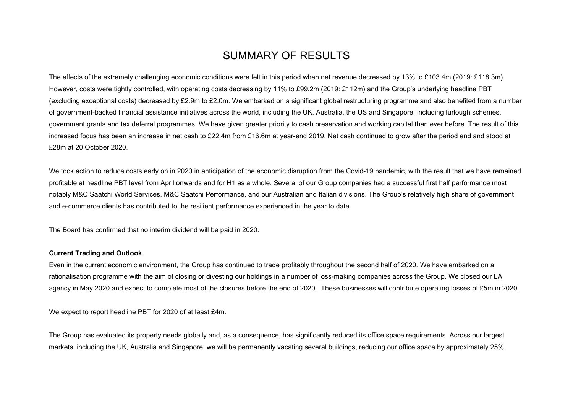# SUMMARY OF RESULTS

The effects of the extremely challenging economic conditions were felt in this period when net revenue decreased by 13% to £103.4m (2019: £118.3m). However, costs were tightly controlled, with operating costs decreasing by 11% to £99.2m (2019: £112m) and the Group's underlying headline PBT (excluding exceptional costs) decreased by £2.9m to £2.0m. We embarked on a significant global restructuring programme and also benefited from a number of government-backed financial assistance initiatives across the world, including the UK, Australia, the US and Singapore, including furlough schemes, government grants and tax deferral programmes. We have given greater priority to cash preservation and working capital than ever before. The result of this increased focus has been an increase in net cash to £22.4m from £16.6m at year-end 2019. Net cash continued to grow after the period end and stood at £28m at 20 October 2020.

We took action to reduce costs early on in 2020 in anticipation of the economic disruption from the Covid-19 pandemic, with the result that we have remained profitable at headline PBT level from April onwards and for H1 as a whole. Several of our Group companies had a successful first half performance most notably M&C Saatchi World Services, M&C Saatchi Performance, and our Australian and Italian divisions. The Group's relatively high share of government and e-commerce clients has contributed to the resilient performance experienced in the year to date.

The Board has confirmed that no interim dividend will be paid in 2020.

#### **Current Trading and Outlook**

Even in the current economic environment, the Group has continued to trade profitably throughout the second half of 2020. We have embarked on a rationalisation programme with the aim of closing or divesting our holdings in a number of loss-making companies across the Group. We closed our LA agency in May 2020 and expect to complete most of the closures before the end of 2020. These businesses will contribute operating losses of £5m in 2020.

We expect to report headline PBT for 2020 of at least £4m.

The Group has evaluated its property needs globally and, as a consequence, has significantly reduced its office space requirements. Across our largest markets, including the UK, Australia and Singapore, we will be permanently vacating several buildings, reducing our office space by approximately 25%.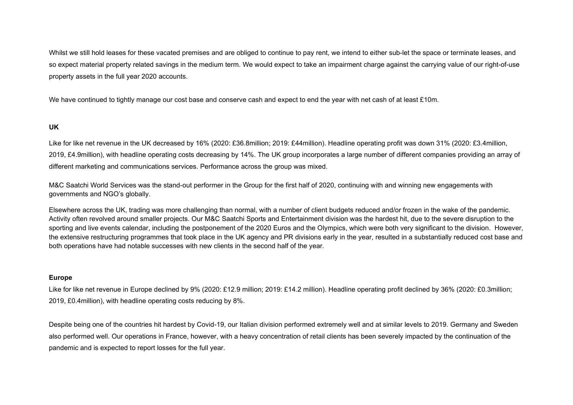Whilst we still hold leases for these vacated premises and are obliged to continue to pay rent, we intend to either sub-let the space or terminate leases, and so expect material property related savings in the medium term. We would expect to take an impairment charge against the carrying value of our right-of-use property assets in the full year 2020 accounts.

We have continued to tightly manage our cost base and conserve cash and expect to end the year with net cash of at least £10m.

## **UK**

Like for like net revenue in the UK decreased by 16% (2020: £36.8million; 2019: £44million). Headline operating profit was down 31% (2020: £3.4million, 2019, £4.9million), with headline operating costs decreasing by 14%. The UK group incorporates a large number of different companies providing an array of different marketing and communications services. Performance across the group was mixed.

M&C Saatchi World Services was the stand-out performer in the Group for the first half of 2020, continuing with and winning new engagements with governments and NGO's globally.

Elsewhere across the UK, trading was more challenging than normal, with a number of client budgets reduced and/or frozen in the wake of the pandemic. Activity often revolved around smaller projects. Our M&C Saatchi Sports and Entertainment division was the hardest hit, due to the severe disruption to the sporting and live events calendar, including the postponement of the 2020 Euros and the Olympics, which were both very significant to the division. However, the extensive restructuring programmes that took place in the UK agency and PR divisions early in the year, resulted in a substantially reduced cost base and both operations have had notable successes with new clients in the second half of the year.

#### **Europe**

Like for like net revenue in Europe declined by 9% (2020: £12.9 million; 2019: £14.2 million). Headline operating profit declined by 36% (2020: £0.3million; 2019, £0.4million), with headline operating costs reducing by 8%.

Despite being one of the countries hit hardest by Covid-19, our Italian division performed extremely well and at similar levels to 2019. Germany and Sweden also performed well. Our operations in France, however, with a heavy concentration of retail clients has been severely impacted by the continuation of the pandemic and is expected to report losses for the full year.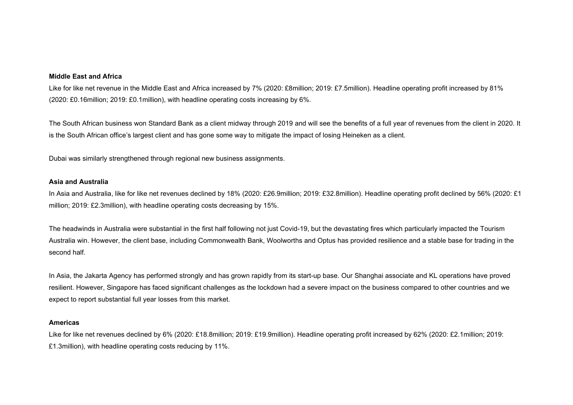#### **Middle East and Africa**

Like for like net revenue in the Middle East and Africa increased by 7% (2020: £8million; 2019: £7.5million). Headline operating profit increased by 81% (2020: £0.16million; 2019: £0.1million), with headline operating costs increasing by 6%.

The South African business won Standard Bank as a client midway through 2019 and will see the benefits of a full year of revenues from the client in 2020. It is the South African office's largest client and has gone some way to mitigate the impact of losing Heineken as a client.

Dubai was similarly strengthened through regional new business assignments.

#### **Asia and Australia**

In Asia and Australia, like for like net revenues declined by 18% (2020: £26.9million; 2019: £32.8million). Headline operating profit declined by 56% (2020: £1 million; 2019: £2.3million), with headline operating costs decreasing by 15%.

The headwinds in Australia were substantial in the first half following not just Covid-19, but the devastating fires which particularly impacted the Tourism Australia win. However, the client base, including Commonwealth Bank, Woolworths and Optus has provided resilience and a stable base for trading in the second half.

In Asia, the Jakarta Agency has performed strongly and has grown rapidly from its start-up base. Our Shanghai associate and KL operations have proved resilient. However, Singapore has faced significant challenges as the lockdown had a severe impact on the business compared to other countries and we expect to report substantial full year losses from this market.

#### **Americas**

Like for like net revenues declined by 6% (2020: £18.8million; 2019: £19.9million). Headline operating profit increased by 62% (2020: £2.1million; 2019: £1.3million), with headline operating costs reducing by 11%.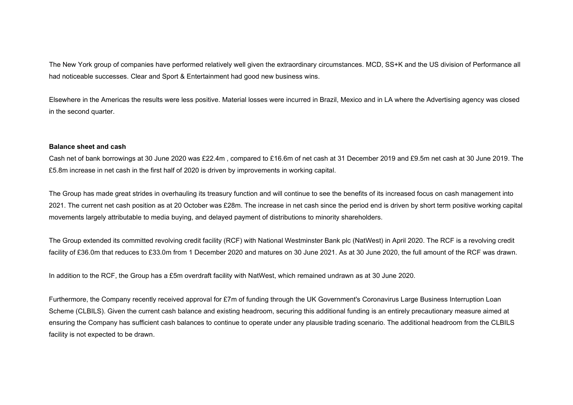The New York group of companies have performed relatively well given the extraordinary circumstances. MCD, SS+K and the US division of Performance all had noticeable successes. Clear and Sport & Entertainment had good new business wins.

Elsewhere in the Americas the results were less positive. Material losses were incurred in Brazil, Mexico and in LA where the Advertising agency was closed in the second quarter.

#### **Balance sheet and cash**

Cash net of bank borrowings at 30 June 2020 was £22.4m , compared to £16.6m of net cash at 31 December 2019 and £9.5m net cash at 30 June 2019. The £5.8m increase in net cash in the first half of 2020 is driven by improvements in working capital.

The Group has made great strides in overhauling its treasury function and will continue to see the benefits of its increased focus on cash management into 2021. The current net cash position as at 20 October was £28m. The increase in net cash since the period end is driven by short term positive working capital movements largely attributable to media buying, and delayed payment of distributions to minority shareholders.

The Group extended its committed revolving credit facility (RCF) with National Westminster Bank plc (NatWest) in April 2020. The RCF is a revolving credit facility of £36.0m that reduces to £33.0m from 1 December 2020 and matures on 30 June 2021. As at 30 June 2020, the full amount of the RCF was drawn.

In addition to the RCF, the Group has a £5m overdraft facility with NatWest, which remained undrawn as at 30 June 2020.

Furthermore, the Company recently received approval for £7m of funding through the UK Government's Coronavirus Large Business Interruption Loan Scheme (CLBILS). Given the current cash balance and existing headroom, securing this additional funding is an entirely precautionary measure aimed at ensuring the Company has sufficient cash balances to continue to operate under any plausible trading scenario. The additional headroom from the CLBILS facility is not expected to be drawn.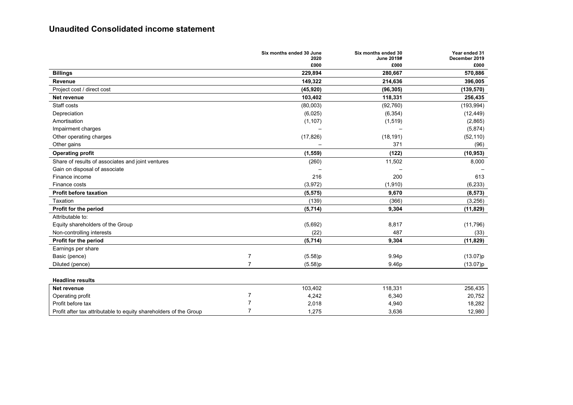## **Unaudited Consolidated income statement**

|                                                                   | Six months ended 30 June  | Six months ended 30<br>2020<br>June 2019# | Year ended 31<br>December 2019 |
|-------------------------------------------------------------------|---------------------------|-------------------------------------------|--------------------------------|
|                                                                   |                           | £000<br>£000                              | £000                           |
| <b>Billings</b>                                                   | 229,894                   | 280,667                                   | 570,886                        |
| Revenue                                                           | 149,322                   | 214,636                                   | 396,005                        |
| Project cost / direct cost                                        | (45, 920)                 | (96, 305)                                 | (139, 570)                     |
| Net revenue                                                       | 103,402                   | 118,331                                   | 256,435                        |
| Staff costs                                                       | (80,003)                  | (92, 760)                                 | (193, 994)                     |
| Depreciation                                                      | (6,025)                   | (6, 354)                                  | (12, 449)                      |
| Amortisation                                                      | (1, 107)                  | (1, 519)                                  | (2,865)                        |
| Impairment charges                                                |                           |                                           | (5,874)                        |
| Other operating charges                                           | (17, 826)                 | (18, 191)                                 | (52, 110)                      |
| Other gains                                                       |                           | 371                                       | (96)                           |
| <b>Operating profit</b>                                           | (1, 559)                  | (122)                                     | (10, 953)                      |
| Share of results of associates and joint ventures                 |                           | (260)<br>11,502                           | 8,000                          |
| Gain on disposal of associate                                     |                           |                                           |                                |
| Finance income                                                    |                           | 216<br>200                                | 613                            |
| Finance costs                                                     | (3,972)                   | (1, 910)                                  | (6, 233)                       |
| <b>Profit before taxation</b>                                     | (5, 575)                  | 9,670                                     | (8, 573)                       |
| Taxation                                                          |                           | (139)<br>(366)                            | (3,256)                        |
| Profit for the period                                             | (5,714)                   | 9,304                                     | (11, 829)                      |
| Attributable to:                                                  |                           |                                           |                                |
| Equity shareholders of the Group                                  | (5,692)                   | 8,817                                     | (11, 796)                      |
| Non-controlling interests                                         |                           | 487<br>(22)                               | (33)                           |
| Profit for the period                                             | (5,714)                   | 9,304                                     | (11, 829)                      |
| Earnings per share                                                |                           |                                           |                                |
| Basic (pence)                                                     | 7<br>(5.58)p              | 9.94p                                     | (13.07)p                       |
| Diluted (pence)                                                   | $\overline{7}$<br>(5.58)p | 9.46p                                     | (13.07)p                       |
|                                                                   |                           |                                           |                                |
| <b>Headline results</b>                                           |                           |                                           |                                |
| Net revenue                                                       | 103,402                   | 118,331                                   | 256,435                        |
| Operating profit                                                  | 7<br>4,242                | 6,340                                     | 20,752                         |
| Profit before tax                                                 | 7<br>2,018                | 4,940                                     | 18,282                         |
| Profit after tax attributable to equity shareholders of the Group | $\overline{7}$<br>1,275   | 3,636                                     | 12,980                         |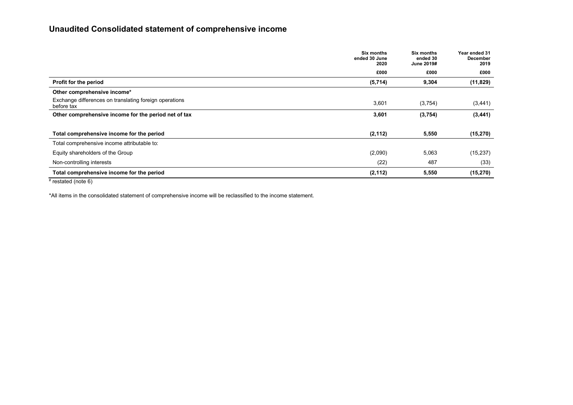## **Unaudited Consolidated statement of comprehensive income**

|                                                                      | <b>Six months</b><br>ended 30 June<br>2020 | <b>Six months</b><br>ended 30<br>June 2019# | Year ended 31<br>December<br>2019 |
|----------------------------------------------------------------------|--------------------------------------------|---------------------------------------------|-----------------------------------|
|                                                                      | £000                                       | £000                                        | £000                              |
| Profit for the period                                                | (5,714)                                    | 9,304                                       | (11, 829)                         |
| Other comprehensive income*                                          |                                            |                                             |                                   |
| Exchange differences on translating foreign operations<br>before tax | 3,601                                      | (3,754)                                     | (3, 441)                          |
| Other comprehensive income for the period net of tax                 | 3,601                                      | (3,754)                                     | (3, 441)                          |
|                                                                      |                                            |                                             |                                   |
| Total comprehensive income for the period                            | (2, 112)                                   | 5,550                                       | (15, 270)                         |
| Total comprehensive income attributable to:                          |                                            |                                             |                                   |
| Equity shareholders of the Group                                     | (2,090)                                    | 5,063                                       | (15, 237)                         |
| Non-controlling interests                                            | (22)                                       | 487                                         | (33)                              |
| Total comprehensive income for the period                            | (2, 112)                                   | 5,550                                       | (15, 270)                         |
| $H$ $\cdots$ $I$ $\cdots$                                            |                                            |                                             |                                   |

 $#$  restated (note 6)

\*All items in the consolidated statement of comprehensive income will be reclassified to the income statement.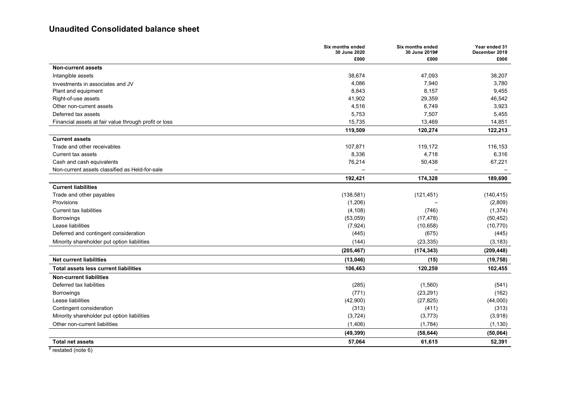## **Unaudited Consolidated balance sheet**

| £000<br>£000<br>£000<br><b>Non-current assets</b><br>38,674<br>47,093<br>38,207<br>Intangible assets<br>4,086<br>7,940<br>3,780<br>Investments in associates and JV<br>8,843<br>8,157<br>9,455<br>Plant and equipment<br>41,902<br>Right-of-use assets<br>29,359<br>46,542<br>Other non-current assets<br>4,516<br>6,749<br>3,923<br>Deferred tax assets<br>5,753<br>7,507<br>5,455<br>15,735<br>13,469<br>14,851<br>Financial assets at fair value through profit or loss<br>119,509<br>120,274<br>122,213<br><b>Current assets</b><br>Trade and other receivables<br>107,871<br>119,172<br>116,153<br><b>Current tax assets</b><br>8,336<br>4,718<br>6,316<br>76,214<br>Cash and cash equivalents<br>50,438<br>67,221<br>Non-current assets classified as Held-for-sale<br>174,328<br>192,421<br>189,690<br><b>Current liabilities</b><br>Trade and other payables<br>(138, 581)<br>(121, 451)<br>(140, 415)<br>Provisions<br>(1,206)<br>(2,809)<br><b>Current tax liabilities</b><br>(4, 108)<br>(1, 374)<br>(746)<br>(53,059)<br>(17, 478)<br>(50, 452)<br><b>Borrowings</b><br>Lease liabilities<br>(7, 924)<br>(10, 658)<br>(10, 770)<br>Deferred and contingent consideration<br>(445)<br>(675)<br>(445)<br>Minority shareholder put option liabilities<br>(144)<br>(23, 335)<br>(3, 183)<br>(174, 343)<br>(209, 448)<br>(205, 467)<br><b>Net current liabilities</b><br>(13,046)<br>(15)<br>(19, 758)<br><b>Total assets less current liabilities</b><br>106,463<br>120,259<br>102,455<br><b>Non-current liabilities</b><br>Deferred tax liabilities<br>(285)<br>(1,560)<br>(541)<br>(771)<br>(23, 291)<br>(162)<br><b>Borrowings</b><br>Lease liabilities<br>(42,900)<br>(27, 825)<br>(44,000)<br>(411)<br>Contingent consideration<br>(313)<br>(313)<br>Minority shareholder put option liabilities<br>(3, 724)<br>(3,773)<br>(3,918)<br>Other non-current liabilities<br>(1, 406)<br>(1,784)<br>(1, 130)<br>(49, 399)<br>(58, 644)<br>(50, 064)<br>61,615<br>57,064<br>52,391<br><b>Total net assets</b> | Six months ended<br>30 June 2020 | Six months ended<br>30 June 2019# | Year ended 31<br>December 2019 |
|---------------------------------------------------------------------------------------------------------------------------------------------------------------------------------------------------------------------------------------------------------------------------------------------------------------------------------------------------------------------------------------------------------------------------------------------------------------------------------------------------------------------------------------------------------------------------------------------------------------------------------------------------------------------------------------------------------------------------------------------------------------------------------------------------------------------------------------------------------------------------------------------------------------------------------------------------------------------------------------------------------------------------------------------------------------------------------------------------------------------------------------------------------------------------------------------------------------------------------------------------------------------------------------------------------------------------------------------------------------------------------------------------------------------------------------------------------------------------------------------------------------------------------------------------------------------------------------------------------------------------------------------------------------------------------------------------------------------------------------------------------------------------------------------------------------------------------------------------------------------------------------------------------------------------------------------------------------------------------------------------------------------|----------------------------------|-----------------------------------|--------------------------------|
|                                                                                                                                                                                                                                                                                                                                                                                                                                                                                                                                                                                                                                                                                                                                                                                                                                                                                                                                                                                                                                                                                                                                                                                                                                                                                                                                                                                                                                                                                                                                                                                                                                                                                                                                                                                                                                                                                                                                                                                                                     |                                  |                                   |                                |
|                                                                                                                                                                                                                                                                                                                                                                                                                                                                                                                                                                                                                                                                                                                                                                                                                                                                                                                                                                                                                                                                                                                                                                                                                                                                                                                                                                                                                                                                                                                                                                                                                                                                                                                                                                                                                                                                                                                                                                                                                     |                                  |                                   |                                |
|                                                                                                                                                                                                                                                                                                                                                                                                                                                                                                                                                                                                                                                                                                                                                                                                                                                                                                                                                                                                                                                                                                                                                                                                                                                                                                                                                                                                                                                                                                                                                                                                                                                                                                                                                                                                                                                                                                                                                                                                                     |                                  |                                   |                                |
|                                                                                                                                                                                                                                                                                                                                                                                                                                                                                                                                                                                                                                                                                                                                                                                                                                                                                                                                                                                                                                                                                                                                                                                                                                                                                                                                                                                                                                                                                                                                                                                                                                                                                                                                                                                                                                                                                                                                                                                                                     |                                  |                                   |                                |
|                                                                                                                                                                                                                                                                                                                                                                                                                                                                                                                                                                                                                                                                                                                                                                                                                                                                                                                                                                                                                                                                                                                                                                                                                                                                                                                                                                                                                                                                                                                                                                                                                                                                                                                                                                                                                                                                                                                                                                                                                     |                                  |                                   |                                |
|                                                                                                                                                                                                                                                                                                                                                                                                                                                                                                                                                                                                                                                                                                                                                                                                                                                                                                                                                                                                                                                                                                                                                                                                                                                                                                                                                                                                                                                                                                                                                                                                                                                                                                                                                                                                                                                                                                                                                                                                                     |                                  |                                   |                                |
|                                                                                                                                                                                                                                                                                                                                                                                                                                                                                                                                                                                                                                                                                                                                                                                                                                                                                                                                                                                                                                                                                                                                                                                                                                                                                                                                                                                                                                                                                                                                                                                                                                                                                                                                                                                                                                                                                                                                                                                                                     |                                  |                                   |                                |
|                                                                                                                                                                                                                                                                                                                                                                                                                                                                                                                                                                                                                                                                                                                                                                                                                                                                                                                                                                                                                                                                                                                                                                                                                                                                                                                                                                                                                                                                                                                                                                                                                                                                                                                                                                                                                                                                                                                                                                                                                     |                                  |                                   |                                |
|                                                                                                                                                                                                                                                                                                                                                                                                                                                                                                                                                                                                                                                                                                                                                                                                                                                                                                                                                                                                                                                                                                                                                                                                                                                                                                                                                                                                                                                                                                                                                                                                                                                                                                                                                                                                                                                                                                                                                                                                                     |                                  |                                   |                                |
|                                                                                                                                                                                                                                                                                                                                                                                                                                                                                                                                                                                                                                                                                                                                                                                                                                                                                                                                                                                                                                                                                                                                                                                                                                                                                                                                                                                                                                                                                                                                                                                                                                                                                                                                                                                                                                                                                                                                                                                                                     |                                  |                                   |                                |
|                                                                                                                                                                                                                                                                                                                                                                                                                                                                                                                                                                                                                                                                                                                                                                                                                                                                                                                                                                                                                                                                                                                                                                                                                                                                                                                                                                                                                                                                                                                                                                                                                                                                                                                                                                                                                                                                                                                                                                                                                     |                                  |                                   |                                |
|                                                                                                                                                                                                                                                                                                                                                                                                                                                                                                                                                                                                                                                                                                                                                                                                                                                                                                                                                                                                                                                                                                                                                                                                                                                                                                                                                                                                                                                                                                                                                                                                                                                                                                                                                                                                                                                                                                                                                                                                                     |                                  |                                   |                                |
|                                                                                                                                                                                                                                                                                                                                                                                                                                                                                                                                                                                                                                                                                                                                                                                                                                                                                                                                                                                                                                                                                                                                                                                                                                                                                                                                                                                                                                                                                                                                                                                                                                                                                                                                                                                                                                                                                                                                                                                                                     |                                  |                                   |                                |
|                                                                                                                                                                                                                                                                                                                                                                                                                                                                                                                                                                                                                                                                                                                                                                                                                                                                                                                                                                                                                                                                                                                                                                                                                                                                                                                                                                                                                                                                                                                                                                                                                                                                                                                                                                                                                                                                                                                                                                                                                     |                                  |                                   |                                |
|                                                                                                                                                                                                                                                                                                                                                                                                                                                                                                                                                                                                                                                                                                                                                                                                                                                                                                                                                                                                                                                                                                                                                                                                                                                                                                                                                                                                                                                                                                                                                                                                                                                                                                                                                                                                                                                                                                                                                                                                                     |                                  |                                   |                                |
|                                                                                                                                                                                                                                                                                                                                                                                                                                                                                                                                                                                                                                                                                                                                                                                                                                                                                                                                                                                                                                                                                                                                                                                                                                                                                                                                                                                                                                                                                                                                                                                                                                                                                                                                                                                                                                                                                                                                                                                                                     |                                  |                                   |                                |
|                                                                                                                                                                                                                                                                                                                                                                                                                                                                                                                                                                                                                                                                                                                                                                                                                                                                                                                                                                                                                                                                                                                                                                                                                                                                                                                                                                                                                                                                                                                                                                                                                                                                                                                                                                                                                                                                                                                                                                                                                     |                                  |                                   |                                |
|                                                                                                                                                                                                                                                                                                                                                                                                                                                                                                                                                                                                                                                                                                                                                                                                                                                                                                                                                                                                                                                                                                                                                                                                                                                                                                                                                                                                                                                                                                                                                                                                                                                                                                                                                                                                                                                                                                                                                                                                                     |                                  |                                   |                                |
|                                                                                                                                                                                                                                                                                                                                                                                                                                                                                                                                                                                                                                                                                                                                                                                                                                                                                                                                                                                                                                                                                                                                                                                                                                                                                                                                                                                                                                                                                                                                                                                                                                                                                                                                                                                                                                                                                                                                                                                                                     |                                  |                                   |                                |
|                                                                                                                                                                                                                                                                                                                                                                                                                                                                                                                                                                                                                                                                                                                                                                                                                                                                                                                                                                                                                                                                                                                                                                                                                                                                                                                                                                                                                                                                                                                                                                                                                                                                                                                                                                                                                                                                                                                                                                                                                     |                                  |                                   |                                |
|                                                                                                                                                                                                                                                                                                                                                                                                                                                                                                                                                                                                                                                                                                                                                                                                                                                                                                                                                                                                                                                                                                                                                                                                                                                                                                                                                                                                                                                                                                                                                                                                                                                                                                                                                                                                                                                                                                                                                                                                                     |                                  |                                   |                                |
|                                                                                                                                                                                                                                                                                                                                                                                                                                                                                                                                                                                                                                                                                                                                                                                                                                                                                                                                                                                                                                                                                                                                                                                                                                                                                                                                                                                                                                                                                                                                                                                                                                                                                                                                                                                                                                                                                                                                                                                                                     |                                  |                                   |                                |
|                                                                                                                                                                                                                                                                                                                                                                                                                                                                                                                                                                                                                                                                                                                                                                                                                                                                                                                                                                                                                                                                                                                                                                                                                                                                                                                                                                                                                                                                                                                                                                                                                                                                                                                                                                                                                                                                                                                                                                                                                     |                                  |                                   |                                |
|                                                                                                                                                                                                                                                                                                                                                                                                                                                                                                                                                                                                                                                                                                                                                                                                                                                                                                                                                                                                                                                                                                                                                                                                                                                                                                                                                                                                                                                                                                                                                                                                                                                                                                                                                                                                                                                                                                                                                                                                                     |                                  |                                   |                                |
|                                                                                                                                                                                                                                                                                                                                                                                                                                                                                                                                                                                                                                                                                                                                                                                                                                                                                                                                                                                                                                                                                                                                                                                                                                                                                                                                                                                                                                                                                                                                                                                                                                                                                                                                                                                                                                                                                                                                                                                                                     |                                  |                                   |                                |
|                                                                                                                                                                                                                                                                                                                                                                                                                                                                                                                                                                                                                                                                                                                                                                                                                                                                                                                                                                                                                                                                                                                                                                                                                                                                                                                                                                                                                                                                                                                                                                                                                                                                                                                                                                                                                                                                                                                                                                                                                     |                                  |                                   |                                |
|                                                                                                                                                                                                                                                                                                                                                                                                                                                                                                                                                                                                                                                                                                                                                                                                                                                                                                                                                                                                                                                                                                                                                                                                                                                                                                                                                                                                                                                                                                                                                                                                                                                                                                                                                                                                                                                                                                                                                                                                                     |                                  |                                   |                                |
|                                                                                                                                                                                                                                                                                                                                                                                                                                                                                                                                                                                                                                                                                                                                                                                                                                                                                                                                                                                                                                                                                                                                                                                                                                                                                                                                                                                                                                                                                                                                                                                                                                                                                                                                                                                                                                                                                                                                                                                                                     |                                  |                                   |                                |
|                                                                                                                                                                                                                                                                                                                                                                                                                                                                                                                                                                                                                                                                                                                                                                                                                                                                                                                                                                                                                                                                                                                                                                                                                                                                                                                                                                                                                                                                                                                                                                                                                                                                                                                                                                                                                                                                                                                                                                                                                     |                                  |                                   |                                |
|                                                                                                                                                                                                                                                                                                                                                                                                                                                                                                                                                                                                                                                                                                                                                                                                                                                                                                                                                                                                                                                                                                                                                                                                                                                                                                                                                                                                                                                                                                                                                                                                                                                                                                                                                                                                                                                                                                                                                                                                                     |                                  |                                   |                                |
|                                                                                                                                                                                                                                                                                                                                                                                                                                                                                                                                                                                                                                                                                                                                                                                                                                                                                                                                                                                                                                                                                                                                                                                                                                                                                                                                                                                                                                                                                                                                                                                                                                                                                                                                                                                                                                                                                                                                                                                                                     |                                  |                                   |                                |
|                                                                                                                                                                                                                                                                                                                                                                                                                                                                                                                                                                                                                                                                                                                                                                                                                                                                                                                                                                                                                                                                                                                                                                                                                                                                                                                                                                                                                                                                                                                                                                                                                                                                                                                                                                                                                                                                                                                                                                                                                     |                                  |                                   |                                |
|                                                                                                                                                                                                                                                                                                                                                                                                                                                                                                                                                                                                                                                                                                                                                                                                                                                                                                                                                                                                                                                                                                                                                                                                                                                                                                                                                                                                                                                                                                                                                                                                                                                                                                                                                                                                                                                                                                                                                                                                                     |                                  |                                   |                                |
|                                                                                                                                                                                                                                                                                                                                                                                                                                                                                                                                                                                                                                                                                                                                                                                                                                                                                                                                                                                                                                                                                                                                                                                                                                                                                                                                                                                                                                                                                                                                                                                                                                                                                                                                                                                                                                                                                                                                                                                                                     |                                  |                                   |                                |
|                                                                                                                                                                                                                                                                                                                                                                                                                                                                                                                                                                                                                                                                                                                                                                                                                                                                                                                                                                                                                                                                                                                                                                                                                                                                                                                                                                                                                                                                                                                                                                                                                                                                                                                                                                                                                                                                                                                                                                                                                     |                                  |                                   |                                |
|                                                                                                                                                                                                                                                                                                                                                                                                                                                                                                                                                                                                                                                                                                                                                                                                                                                                                                                                                                                                                                                                                                                                                                                                                                                                                                                                                                                                                                                                                                                                                                                                                                                                                                                                                                                                                                                                                                                                                                                                                     |                                  |                                   |                                |

 $t$  restated (note 6)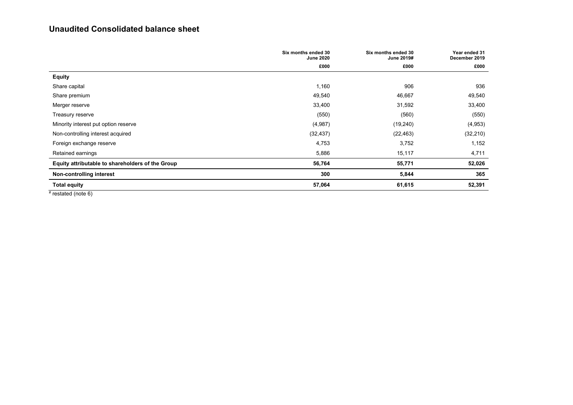## **Unaudited Consolidated balance sheet**

|                                                  | Six months ended 30<br><b>June 2020</b> | Six months ended 30<br>June 2019# | Year ended 31<br>December 2019 |
|--------------------------------------------------|-----------------------------------------|-----------------------------------|--------------------------------|
|                                                  | £000                                    | £000                              | £000                           |
| <b>Equity</b>                                    |                                         |                                   |                                |
| Share capital                                    | 1,160                                   | 906                               | 936                            |
| Share premium                                    | 49,540                                  | 46,667                            | 49,540                         |
| Merger reserve                                   | 33,400                                  | 31,592                            | 33,400                         |
| Treasury reserve                                 | (550)                                   | (560)                             | (550)                          |
| Minority interest put option reserve             | (4,987)                                 | (19,240)                          | (4, 953)                       |
| Non-controlling interest acquired                | (32, 437)                               | (22, 463)                         | (32, 210)                      |
| Foreign exchange reserve                         | 4,753                                   | 3,752                             | 1,152                          |
| Retained earnings                                | 5,886                                   | 15,117                            | 4,711                          |
| Equity attributable to shareholders of the Group | 56,764                                  | 55,771                            | 52,026                         |
| Non-controlling interest                         | 300                                     | 5,844                             | 365                            |
| <b>Total equity</b><br>$\cdots$                  | 57,064                                  | 61,615                            | 52,391                         |

 $#$  restated (note 6)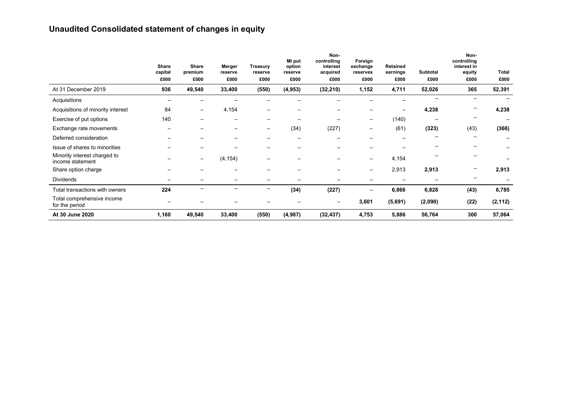# **Unaudited Consolidated statement of changes in equity**

|                                                  | <b>Share</b><br>capital | <b>Share</b><br>premium  | Merger<br>reserve | <b>Treasury</b><br>reserve | MI put<br>option<br>reserve | Non-<br>controlling<br>interest<br>acquired | Foreign<br>exchange<br>reserves | <b>Retained</b><br>earnings | Subtotal | Non-<br>controlling<br>interest in<br>equity | Total    |
|--------------------------------------------------|-------------------------|--------------------------|-------------------|----------------------------|-----------------------------|---------------------------------------------|---------------------------------|-----------------------------|----------|----------------------------------------------|----------|
|                                                  | £000                    | £000                     | £000              | £000                       | £000                        | £000                                        | £000                            | £000                        | £000     | £000                                         | £000     |
| At 31 December 2019                              | 936                     | 49,540                   | 33,400            | (550)                      | (4, 953)                    | (32, 210)                                   | 1,152                           | 4,711                       | 52,026   | 365                                          | 52,391   |
| Acquisitions                                     |                         |                          |                   |                            |                             |                                             |                                 |                             |          |                                              |          |
| Acquisitions of minority interest                | 84                      | $\qquad \qquad -$        | 4,154             |                            |                             |                                             |                                 |                             | 4,238    |                                              | 4,238    |
| Exercise of put options                          | 140                     |                          |                   | $\overline{\phantom{m}}$   |                             |                                             | $\overline{\phantom{0}}$        | (140)                       |          | $\overline{\phantom{m}}$                     |          |
| Exchange rate movements                          |                         |                          |                   | $\overline{\phantom{m}}$   | (34)                        | (227)                                       | $\overline{\phantom{0}}$        | (61)                        | (323)    | (43)                                         | (366)    |
| Deferred consideration                           |                         |                          |                   |                            |                             |                                             |                                 |                             |          |                                              |          |
| Issue of shares to minorities                    |                         |                          |                   |                            |                             |                                             |                                 |                             |          |                                              |          |
| Minority interest charged to<br>income statement |                         | $\overline{\phantom{m}}$ | (4, 154)          | $\overline{\phantom{0}}$   |                             |                                             | -                               | 4,154                       |          |                                              |          |
| Share option charge                              |                         |                          |                   |                            |                             |                                             | $\qquad \qquad -$               | 2,913                       | 2,913    |                                              | 2,913    |
| <b>Dividends</b>                                 |                         |                          |                   |                            |                             |                                             |                                 |                             |          |                                              |          |
| Total transactions with owners                   | 224                     | $\overline{\phantom{0}}$ |                   | $\overline{\phantom{m}}$   | (34)                        | (227)                                       |                                 | 6,866                       | 6,828    | (43)                                         | 6,785    |
| Total comprehensive income<br>for the period     |                         |                          |                   |                            |                             | $\overline{\phantom{0}}$                    | 3,601                           | (5,691)                     | (2,090)  | (22)                                         | (2, 112) |
| At 30 June 2020                                  | 1,160                   | 49,540                   | 33,400            | (550)                      | (4, 987)                    | (32, 437)                                   | 4,753                           | 5,886                       | 56,764   | 300                                          | 57,064   |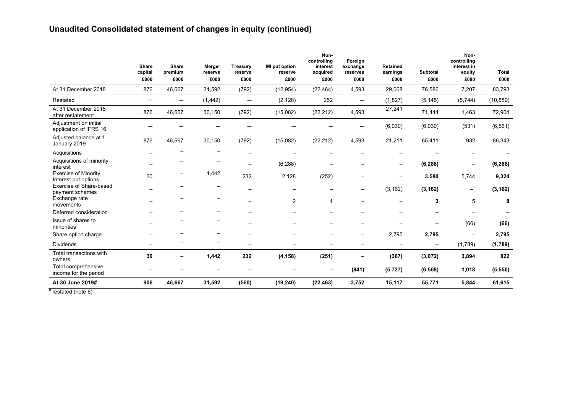# **Unaudited Consolidated statement of changes in equity (continued)**

|                                                     | <b>Share</b><br>capital  | <b>Share</b><br>premium  | Merger<br>reserve        | <b>Treasury</b><br>reserve | MI put option<br>reserve | Non-<br>controlling<br>interest<br>acquired | Foreign<br>exchange<br>reserves   | <b>Retained</b><br>earnings | Subtotal                 | Non-<br>controlling<br>interest in<br>equity        | <b>Total</b> |
|-----------------------------------------------------|--------------------------|--------------------------|--------------------------|----------------------------|--------------------------|---------------------------------------------|-----------------------------------|-----------------------------|--------------------------|-----------------------------------------------------|--------------|
|                                                     | £000                     | £000                     | £000                     | £000                       | £000                     | £000                                        | £000                              | £000                        | £000                     | £000                                                | £000         |
| At 31 December 2018                                 | 876                      | 46,667                   | 31,592                   | (792)                      | (12, 954)                | (22, 464)                                   | 4,593                             | 29,068                      | 76,586                   | 7,207                                               | 83,793       |
| Restated                                            | $\overline{\phantom{0}}$ | —                        | (1, 442)                 |                            | (2, 128)                 | 252                                         | $\overline{\phantom{0}}$          | (1,827)                     | (5, 145)                 | (5,744)                                             | (10, 889)    |
| At 31 December 2018<br>after restatement            | 876                      | 46,667                   | 30,150                   | (792)                      | (15,082)                 | (22, 212)                                   | 4,593                             | 27,241                      | 71,444                   | 1,463                                               | 72,904       |
| Adjustment on initial<br>application of IFRS 16     |                          |                          |                          |                            |                          |                                             | -                                 | (6,030)                     | (6,030)                  | (531)                                               | (6, 561)     |
| Adjusted balance at 1<br>January 2019               | 876                      | 46,667                   | 30,150                   | (792)                      | (15,082)                 | (22, 212)                                   | 4,593                             | 21,211                      | 65,411                   | 932                                                 | 66,343       |
| Acquisitions                                        | $\overline{\phantom{m}}$ | $\overline{\phantom{0}}$ |                          | $\overline{\phantom{m}}$   | $\overline{\phantom{0}}$ |                                             |                                   |                             |                          |                                                     |              |
| Acquisitions of minority<br>interest                | $\equiv$                 |                          |                          | $\overline{\phantom{0}}$   | (6, 288)                 | $\overline{\phantom{0}}$                    |                                   | $\overline{\phantom{0}}$    | (6, 288)                 | —                                                   | (6, 288)     |
| <b>Exercise of Minority</b><br>Interest put options | 30                       |                          | 1,442                    | 232                        | 2,128                    | (252)                                       |                                   |                             | 3,580                    | 5,744                                               | 9,324        |
| Exercise of Share-based<br>payment schemes          |                          | —                        | $\overline{\phantom{m}}$ | $\overline{\phantom{m}}$   | $\overline{\phantom{0}}$ | $\overline{\phantom{0}}$                    | $\overline{\phantom{0}}$          | (3, 162)                    | (3, 162)                 | $\mathord{\hspace{1pt}\text{--}\hspace{1pt}}^\star$ | (3, 162)     |
| Exchange rate<br>movements                          |                          |                          | $\overline{\phantom{m}}$ | $\overline{\phantom{m}}$   | $\overline{2}$           | 1                                           |                                   |                             | 3                        | 5                                                   | 8            |
| Deferred consideration                              |                          |                          |                          |                            |                          |                                             |                                   |                             | -                        | —                                                   |              |
| Issue of shares to<br>minorities                    |                          |                          |                          |                            |                          |                                             |                                   |                             | -                        | (66)                                                | (66)         |
| Share option charge                                 |                          |                          |                          |                            |                          |                                             |                                   | 2,795                       | 2,795                    | $\overline{\phantom{m}}$                            | 2,795        |
| <b>Dividends</b>                                    |                          |                          | $\overline{\phantom{0}}$ |                            | $\overline{\phantom{0}}$ | $\overline{\phantom{0}}$                    | $\overbrace{\phantom{123221111}}$ | $\overline{\phantom{m}}$    | $\overline{\phantom{0}}$ | (1,789)                                             | (1,789)      |
| Total transactions with<br>owners                   | 30                       | -                        | 1,442                    | 232                        | (4, 158)                 | (251)                                       | -                                 | (367)                       | (3,072)                  | 3,894                                               | 822          |
| Total comprehensive<br>income for the period        | -                        |                          | -                        | -                          | -                        | -                                           | (841)                             | (5, 727)                    | (6, 568)                 | 1,018                                               | (5, 550)     |
| At 30 June 2019#                                    | 906                      | 46,667                   | 31,592                   | (560)                      | (19, 240)                | (22, 463)                                   | 3,752                             | 15,117                      | 55,771                   | 5,844                                               | 61,615       |

 $#$  restated (note 6)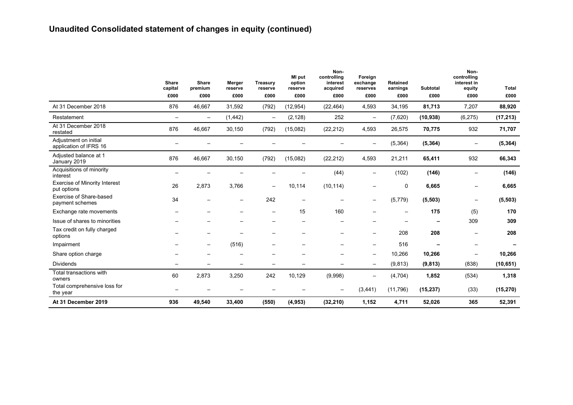# **Unaudited Consolidated statement of changes in equity (continued)**

|                                                     | <b>Share</b><br>capital<br>£000 | <b>Share</b><br>premium<br>£000 | Merger<br>reserve<br>£000 | <b>Treasury</b><br>reserve<br>£000 | MI put<br>option<br>reserve<br>£000 | Non-<br>controlling<br>interest<br>acquired<br>£000 | Foreign<br>exchange<br>reserves<br>£000 | Retained<br>earnings<br>£000 | <b>Subtotal</b><br>£000 | Non-<br>controlling<br>interest in<br>equity<br>£000 | <b>Total</b><br>£000 |
|-----------------------------------------------------|---------------------------------|---------------------------------|---------------------------|------------------------------------|-------------------------------------|-----------------------------------------------------|-----------------------------------------|------------------------------|-------------------------|------------------------------------------------------|----------------------|
| At 31 December 2018                                 | 876                             | 46,667                          | 31,592                    | (792)                              | (12, 954)                           | (22, 464)                                           | 4,593                                   | 34,195                       | 81,713                  | 7,207                                                | 88,920               |
| Restatement                                         | $\overline{\phantom{m}}$        | $\overline{\phantom{m}}$        | (1, 442)                  | $\overline{\phantom{m}}$           | (2, 128)                            | 252                                                 | $\overline{\phantom{m}}$                | (7,620)                      | (10, 938)               | (6, 275)                                             | (17, 213)            |
| At 31 December 2018<br>restated                     | 876                             | 46,667                          | 30,150                    | (792)                              | (15,082)                            | (22, 212)                                           | 4,593                                   | 26,575                       | 70,775                  | 932                                                  | 71,707               |
| Adjustment on initial<br>application of IFRS 16     | $\overline{\phantom{0}}$        |                                 |                           |                                    |                                     |                                                     | $\overline{\phantom{m}}$                | (5, 364)                     | (5, 364)                | $\overline{\phantom{m}}$                             | (5, 364)             |
| Adjusted balance at 1<br>January 2019               | 876                             | 46,667                          | 30,150                    | (792)                              | (15,082)                            | (22, 212)                                           | 4,593                                   | 21,211                       | 65,411                  | 932                                                  | 66,343               |
| Acquisitions of minority<br>interest                | $\overline{\phantom{0}}$        |                                 |                           |                                    |                                     | (44)                                                | $\overline{\phantom{0}}$                | (102)                        | (146)                   | $\overline{\phantom{m}}$                             | (146)                |
| <b>Exercise of Minority Interest</b><br>put options | 26                              | 2,873                           | 3,766                     |                                    | 10,114                              | (10, 114)                                           |                                         | $\mathbf 0$                  | 6,665                   | $\overline{\phantom{m}}$                             | 6,665                |
| Exercise of Share-based<br>payment schemes          | 34                              |                                 | $\overline{\phantom{0}}$  | 242                                | $\overline{\phantom{m}}$            |                                                     |                                         | (5, 779)                     | (5, 503)                | $\overline{\phantom{0}}$                             | (5, 503)             |
| Exchange rate movements                             |                                 |                                 |                           | $\overline{\phantom{m}}$           | 15                                  | 160                                                 |                                         |                              | 175                     | (5)                                                  | 170                  |
| Issue of shares to minorities                       |                                 |                                 |                           |                                    |                                     |                                                     |                                         |                              |                         | 309                                                  | 309                  |
| Tax credit on fully charged<br>options              |                                 |                                 |                           | —                                  |                                     |                                                     |                                         | 208                          | 208                     | $\overline{\phantom{0}}$                             | 208                  |
| Impairment                                          |                                 |                                 | (516)                     |                                    |                                     |                                                     | $\overline{\phantom{0}}$                | 516                          |                         | $\overline{\phantom{0}}$                             |                      |
| Share option charge                                 |                                 |                                 |                           |                                    |                                     |                                                     | $\overline{\phantom{0}}$                | 10,266                       | 10,266                  | $\overline{\phantom{0}}$                             | 10,266               |
| <b>Dividends</b>                                    |                                 |                                 |                           |                                    |                                     |                                                     |                                         | (9,813)                      | (9, 813)                | (838)                                                | (10, 651)            |
| Total transactions with<br>owners                   | 60                              | 2,873                           | 3,250                     | 242                                | 10,129                              | (9,998)                                             | $\overline{\phantom{m}}$                | (4,704)                      | 1,852                   | (534)                                                | 1,318                |
| Total comprehensive loss for<br>the year            |                                 |                                 |                           |                                    |                                     |                                                     | (3, 441)                                | (11,796)                     | (15, 237)               | (33)                                                 | (15, 270)            |
| At 31 December 2019                                 | 936                             | 49,540                          | 33,400                    | (550)                              | (4, 953)                            | (32, 210)                                           | 1,152                                   | 4,711                        | 52,026                  | 365                                                  | 52,391               |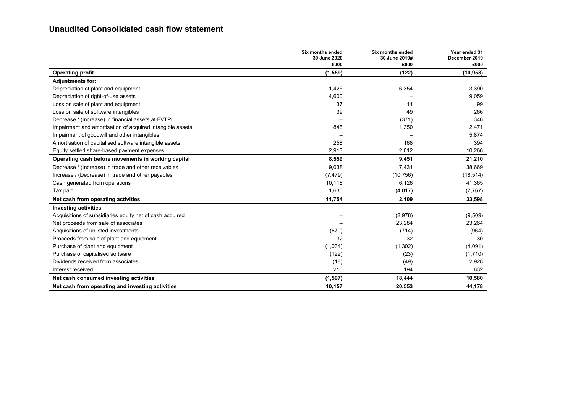## **Unaudited Consolidated cash flow statement**

|                                                           | Six months ended<br>30 June 2020 | Six months ended<br>30 June 2019# | Year ended 31<br>December 2019 |
|-----------------------------------------------------------|----------------------------------|-----------------------------------|--------------------------------|
|                                                           | £000                             | £000                              | £000                           |
| <b>Operating profit</b>                                   | (1, 559)                         | (122)                             | (10, 953)                      |
| <b>Adjustments for:</b>                                   |                                  |                                   |                                |
| Depreciation of plant and equipment                       | 1,425                            | 6,354                             | 3,390                          |
| Depreciation of right-of-use assets                       | 4,600                            |                                   | 9,059                          |
| Loss on sale of plant and equipment                       | 37                               | 11                                | 99                             |
| Loss on sale of software intangibles                      | 39                               | 49                                | 266                            |
| Decrease / (Increase) in financial assets at FVTPL        |                                  | (371)                             | 346                            |
| Impairment and amortisation of acquired intangible assets | 846                              | 1,350                             | 2,471                          |
| Impairment of goodwill and other intangibles              |                                  |                                   | 5,874                          |
| Amortisation of capitalised software intangible assets    | 258                              | 168                               | 394                            |
| Equity settled share-based payment expenses               | 2,913                            | 2,012                             | 10,266                         |
| Operating cash before movements in working capital        | 8,559                            | 9,451                             | 21,210                         |
| Decrease / (Increase) in trade and other receivables      | 9,038                            | 7,431                             | 38,669                         |
| Increase / (Decrease) in trade and other payables         | (7, 479)                         | (10, 756)                         | (18, 514)                      |
| Cash generated from operations                            | 10,118                           | 6,126                             | 41,365                         |
| Tax paid                                                  | 1,636                            | (4, 017)                          | (7, 767)                       |
| Net cash from operating activities                        | 11,754                           | 2,109                             | 33,598                         |
| <b>Investing activities</b>                               |                                  |                                   |                                |
| Acquisitions of subsidiaries equity net of cash acquired  |                                  | (2,978)                           | (9,509)                        |
| Net proceeds from sale of associates                      |                                  | 23,284                            | 23,264                         |
| Acquisitions of unlisted investments                      | (670)                            | (714)                             | (964)                          |
| Proceeds from sale of plant and equipment                 | 32                               | 32                                | 30                             |
| Purchase of plant and equipment                           | (1,034)                          | (1, 302)                          | (4,091)                        |
| Purchase of capitalised software                          | (122)                            | (23)                              | (1,710)                        |
| Dividends received from associates                        | (18)                             | (49)                              | 2,928                          |
| Interest received                                         | 215                              | 194                               | 632                            |
| Net cash consumed investing activities                    | (1, 597)                         | 18,444                            | 10,580                         |
| Net cash from operating and investing activities          | 10,157                           | 20,553                            | 44,178                         |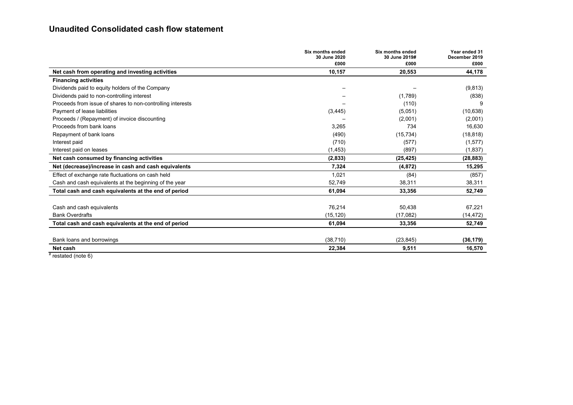## **Unaudited Consolidated cash flow statement**

|                                                                                                        | Six months ended<br>30 June 2020<br>£000 | <b>Six months ended</b><br>30 June 2019#<br>£000 | Year ended 31<br>December 2019<br>£000 |
|--------------------------------------------------------------------------------------------------------|------------------------------------------|--------------------------------------------------|----------------------------------------|
| Net cash from operating and investing activities                                                       | 10,157                                   | 20,553                                           | 44,178                                 |
| <b>Financing activities</b>                                                                            |                                          |                                                  |                                        |
| Dividends paid to equity holders of the Company                                                        |                                          |                                                  | (9,813)                                |
| Dividends paid to non-controlling interest                                                             |                                          | (1,789)                                          | (838)                                  |
| Proceeds from issue of shares to non-controlling interests                                             |                                          | (110)                                            | 9                                      |
| Payment of lease liabilities                                                                           | (3, 445)                                 | (5,051)                                          | (10, 638)                              |
| Proceeds / (Repayment) of invoice discounting                                                          |                                          | (2,001)                                          | (2,001)                                |
| Proceeds from bank loans                                                                               | 3,265                                    | 734                                              | 16,630                                 |
| Repayment of bank loans                                                                                | (490)                                    | (15, 734)                                        | (18, 818)                              |
| Interest paid                                                                                          | (710)                                    | (577)                                            | (1,577)                                |
| Interest paid on leases                                                                                | (1, 453)                                 | (897)                                            | (1,837)                                |
| Net cash consumed by financing activities                                                              | (2,833)                                  | (25, 425)                                        | (28, 883)                              |
| Net (decrease)/increase in cash and cash equivalents                                                   | 7,324                                    | (4, 872)                                         | 15,295                                 |
| Effect of exchange rate fluctuations on cash held                                                      | 1,021                                    | (84)                                             | (857)                                  |
| Cash and cash equivalents at the beginning of the year                                                 | 52.749                                   | 38,311                                           | 38,311                                 |
| Total cash and cash equivalents at the end of period                                                   | 61,094                                   | 33,356                                           | 52,749                                 |
|                                                                                                        |                                          |                                                  |                                        |
| Cash and cash equivalents                                                                              | 76,214                                   | 50,438                                           | 67,221                                 |
| <b>Bank Overdrafts</b>                                                                                 | (15, 120)                                | (17,082)                                         | (14, 472)                              |
| Total cash and cash equivalents at the end of period                                                   | 61,094                                   | 33,356                                           | 52,749                                 |
|                                                                                                        |                                          |                                                  |                                        |
| Bank loans and borrowings                                                                              | (38, 710)                                | (23, 845)                                        | (36, 179)                              |
| Net cash<br>$\mathbf{1}$ $\mathbf{1}$ $\mathbf{1}$ $\mathbf{1}$ $\mathbf{1}$ $\mathbf{1}$ $\mathbf{1}$ | 22,384                                   | 9,511                                            | 16,570                                 |

 $t$  restated (note 6)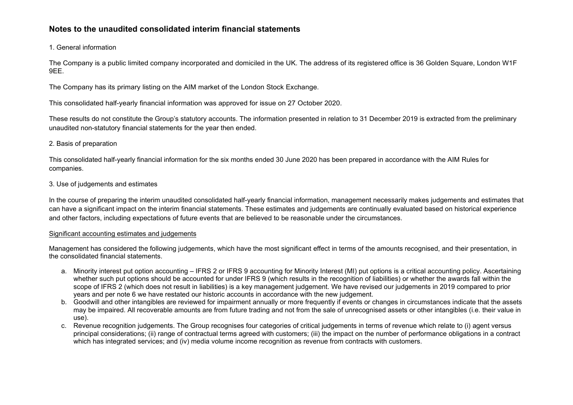## 1. General information

The Company is a public limited company incorporated and domiciled in the UK. The address of its registered office is 36 Golden Square, London W1F 9EE.

The Company has its primary listing on the AIM market of the London Stock Exchange.

This consolidated half-yearly financial information was approved for issue on 27 October 2020.

These results do not constitute the Group's statutory accounts. The information presented in relation to 31 December 2019 is extracted from the preliminary unaudited non-statutory financial statements for the year then ended.

## 2. Basis of preparation

This consolidated half-yearly financial information for the six months ended 30 June 2020 has been prepared in accordance with the AIM Rules for companies.

## 3. Use of judgements and estimates

In the course of preparing the interim unaudited consolidated half-yearly financial information, management necessarily makes judgements and estimates that can have a significant impact on the interim financial statements. These estimates and judgements are continually evaluated based on historical experience and other factors, including expectations of future events that are believed to be reasonable under the circumstances.

#### Significant accounting estimates and judgements

Management has considered the following judgements, which have the most significant effect in terms of the amounts recognised, and their presentation, in the consolidated financial statements.

- a. Minority interest put option accounting IFRS 2 or IFRS 9 accounting for Minority Interest (MI) put options is a critical accounting policy. Ascertaining whether such put options should be accounted for under IFRS 9 (which results in the recognition of liabilities) or whether the awards fall within the scope of IFRS 2 (which does not result in liabilities) is a key management judgement. We have revised our judgements in 2019 compared to prior years and per note 6 we have restated our historic accounts in accordance with the new judgement.
- b. Goodwill and other intangibles are reviewed for impairment annually or more frequently if events or changes in circumstances indicate that the assets may be impaired. All recoverable amounts are from future trading and not from the sale of unrecognised assets or other intangibles (i.e. their value in use).
- c. Revenue recognition judgements. The Group recognises four categories of critical judgements in terms of revenue which relate to (i) agent versus principal considerations; (ii) range of contractual terms agreed with customers; (iii) the impact on the number of performance obligations in a contract which has integrated services; and (iv) media volume income recognition as revenue from contracts with customers.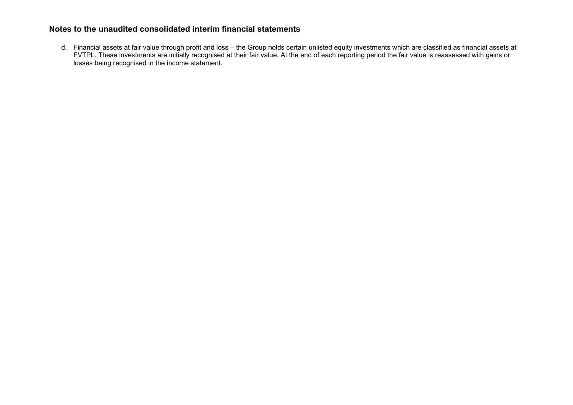d. Financial assets at fair value through profit and loss – the Group holds certain unlisted equity investments which are classified as financial assets at FVTPL. These investments are initially recognised at their fair value. At the end of each reporting period the fair value is reassessed with gains or losses being recognised in the income statement.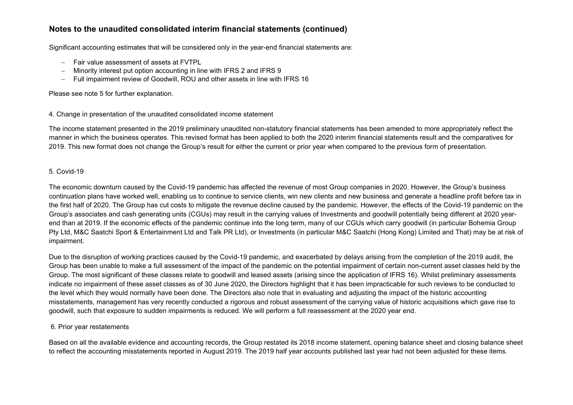Significant accounting estimates that will be considered only in the year-end financial statements are:

- − Fair value assessment of assets at FVTPL
- Minority interest put option accounting in line with IFRS 2 and IFRS 9
- Full impairment review of Goodwill, ROU and other assets in line with IFRS 16

## Please see note 5 for further explanation.

## 4. Change in presentation of the unaudited consolidated income statement

The income statement presented in the 2019 preliminary unaudited non-statutory financial statements has been amended to more appropriately reflect the manner in which the business operates. This revised format has been applied to both the 2020 interim financial statements result and the comparatives for 2019. This new format does not change the Group's result for either the current or prior year when compared to the previous form of presentation.

## 5. Covid-19

The economic downturn caused by the Covid-19 pandemic has affected the revenue of most Group companies in 2020. However, the Group's business continuation plans have worked well, enabling us to continue to service clients, win new clients and new business and generate a headline profit before tax in the first half of 2020. The Group has cut costs to mitigate the revenue decline caused by the pandemic. However, the effects of the Covid-19 pandemic on the Group's associates and cash generating units (CGUs) may result in the carrying values of Investments and goodwill potentially being different at 2020 yearend than at 2019. If the economic effects of the pandemic continue into the long term, many of our CGUs which carry goodwill (in particular Bohemia Group Pty Ltd, M&C Saatchi Sport & Entertainment Ltd and Talk PR Ltd), or Investments (in particular M&C Saatchi (Hong Kong) Limited and That) may be at risk of impairment.

Due to the disruption of working practices caused by the Covid-19 pandemic, and exacerbated by delays arising from the completion of the 2019 audit, the Group has been unable to make a full assessment of the impact of the pandemic on the potential impairment of certain non-current asset classes held by the Group. The most significant of these classes relate to goodwill and leased assets (arising since the application of IFRS 16). Whilst preliminary assessments indicate no impairment of these asset classes as of 30 June 2020, the Directors highlight that it has been impracticable for such reviews to be conducted to the level which they would normally have been done. The Directors also note that in evaluating and adjusting the impact of the historic accounting misstatements, management has very recently conducted a rigorous and robust assessment of the carrying value of historic acquisitions which gave rise to goodwill, such that exposure to sudden impairments is reduced. We will perform a full reassessment at the 2020 year end.

## 6. Prior year restatements

Based on all the available evidence and accounting records, the Group restated its 2018 income statement, opening balance sheet and closing balance sheet to reflect the accounting misstatements reported in August 2019. The 2019 half year accounts published last year had not been adjusted for these items.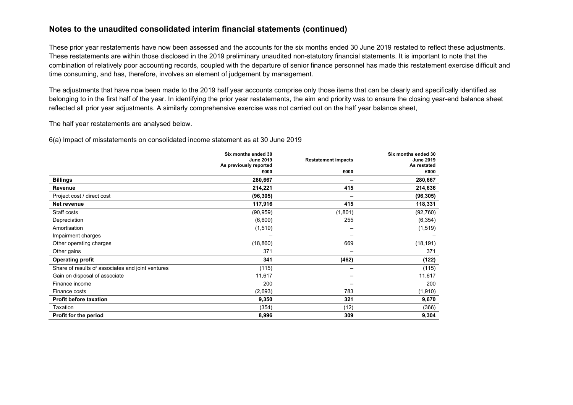These prior year restatements have now been assessed and the accounts for the six months ended 30 June 2019 restated to reflect these adjustments. These restatements are within those disclosed in the 2019 preliminary unaudited non-statutory financial statements. It is important to note that the combination of relatively poor accounting records, coupled with the departure of senior finance personnel has made this restatement exercise difficult and time consuming, and has, therefore, involves an element of judgement by management.

The adjustments that have now been made to the 2019 half year accounts comprise only those items that can be clearly and specifically identified as belonging to in the first half of the year. In identifying the prior year restatements, the aim and priority was to ensure the closing year-end balance sheet reflected all prior year adjustments. A similarly comprehensive exercise was not carried out on the half year balance sheet,

The half year restatements are analysed below.

6(a) Impact of misstatements on consolidated income statement as at 30 June 2019

|                                                   | Six months ended 30<br><b>June 2019</b> |         | Six months ended 30<br><b>June 2019</b> |
|---------------------------------------------------|-----------------------------------------|---------|-----------------------------------------|
|                                                   | As previously reported                  |         | As restated                             |
|                                                   | £000                                    | £000    | £000                                    |
| <b>Billings</b>                                   | 280,667                                 |         | 280,667                                 |
| Revenue                                           | 214,221                                 | 415     | 214,636                                 |
| Project cost / direct cost                        | (96, 305)                               |         | (96, 305)                               |
| Net revenue                                       | 117,916                                 | 415     | 118,331                                 |
| Staff costs                                       | (90, 959)                               | (1,801) | (92, 760)                               |
| Depreciation                                      | (6,609)                                 | 255     | (6, 354)                                |
| Amortisation                                      | (1, 519)                                |         | (1, 519)                                |
| Impairment charges                                |                                         |         |                                         |
| Other operating charges                           | (18, 860)                               | 669     | (18, 191)                               |
| Other gains                                       | 371                                     |         | 371                                     |
| <b>Operating profit</b>                           | 341                                     | (462)   | (122)                                   |
| Share of results of associates and joint ventures | (115)                                   |         | (115)                                   |
| Gain on disposal of associate                     | 11,617                                  |         | 11,617                                  |
| Finance income                                    | 200                                     |         | 200                                     |
| Finance costs                                     | (2,693)                                 | 783     | (1,910)                                 |
| <b>Profit before taxation</b>                     | 9,350                                   | 321     | 9,670                                   |
| Taxation                                          | (354)                                   | (12)    | (366)                                   |
| Profit for the period                             | 8,996                                   | 309     | 9,304                                   |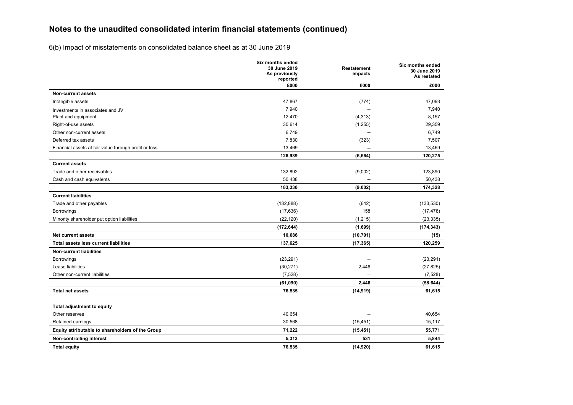6(b) Impact of misstatements on consolidated balance sheet as at 30 June 2019

|                                                                       | <b>Six months ended</b><br>30 June 2019<br>As previously<br>reported | Restatement<br>impacts   | Six months ended<br>30 June 2019<br>As restated |
|-----------------------------------------------------------------------|----------------------------------------------------------------------|--------------------------|-------------------------------------------------|
|                                                                       | £000                                                                 | £000                     | £000                                            |
| <b>Non-current assets</b>                                             |                                                                      |                          |                                                 |
| Intangible assets                                                     | 47,867                                                               | (774)                    | 47,093                                          |
| Investments in associates and JV                                      | 7,940                                                                | $\overline{\phantom{a}}$ | 7,940                                           |
| Plant and equipment                                                   | 12,470                                                               | (4, 313)                 | 8,157                                           |
| Right-of-use assets                                                   | 30,614                                                               | (1,255)                  | 29,359                                          |
| Other non-current assets                                              | 6,749                                                                | $\overline{\phantom{a}}$ | 6,749                                           |
| Deferred tax assets                                                   | 7,830                                                                | (323)                    | 7,507                                           |
| Financial assets at fair value through profit or loss                 | 13,469                                                               | $\overline{\phantom{0}}$ | 13,469                                          |
|                                                                       | 126,939                                                              | (6, 664)                 | 120,275                                         |
| <b>Current assets</b>                                                 |                                                                      |                          |                                                 |
| Trade and other receivables                                           | 132,892                                                              | (9,002)                  | 123,890                                         |
| Cash and cash equivalents                                             | 50,438                                                               | $\overline{\phantom{0}}$ | 50,438                                          |
|                                                                       | 183,330                                                              | (9,002)                  | 174,328                                         |
| <b>Current liabilities</b>                                            |                                                                      |                          |                                                 |
| Trade and other payables                                              | (132, 888)                                                           | (642)                    | (133, 530)                                      |
| <b>Borrowings</b>                                                     | (17, 636)                                                            | 158                      | (17, 478)                                       |
| Minority shareholder put option liabilities                           | (22, 120)                                                            | (1, 215)                 | (23, 335)                                       |
|                                                                       | (172, 644)                                                           | (1,699)                  | (174, 343)                                      |
| <b>Net current assets</b>                                             | 10,686                                                               | (10, 701)                | (15)                                            |
| <b>Total assets less current liabilities</b>                          | 137,625                                                              | (17, 365)                | 120,259                                         |
| <b>Non-current liabilities</b>                                        |                                                                      |                          |                                                 |
| Borrowings                                                            | (23, 291)                                                            |                          | (23, 291)                                       |
| Lease liabilities                                                     | (30, 271)                                                            | 2,446                    | (27, 825)                                       |
| Other non-current liabilities                                         | (7, 528)                                                             |                          | (7, 528)                                        |
|                                                                       | (61,090)                                                             | 2,446                    | (58, 644)                                       |
| <b>Total net assets</b>                                               | 76,535                                                               | (14, 919)                | 61,615                                          |
|                                                                       |                                                                      |                          |                                                 |
| <b>Total adjustment to equity</b><br>Other reserves                   | 40,654                                                               | $\overline{\phantom{0}}$ | 40,654                                          |
|                                                                       | 30,568                                                               |                          | 15,117                                          |
| Retained earnings<br>Equity attributable to shareholders of the Group | 71,222                                                               | (15, 451)                | 55,771                                          |
| Non-controlling interest                                              | 5,313                                                                | (15, 451)<br>531         | 5,844                                           |
|                                                                       |                                                                      |                          |                                                 |
| <b>Total equity</b>                                                   | 76,535                                                               | (14, 920)                | 61,615                                          |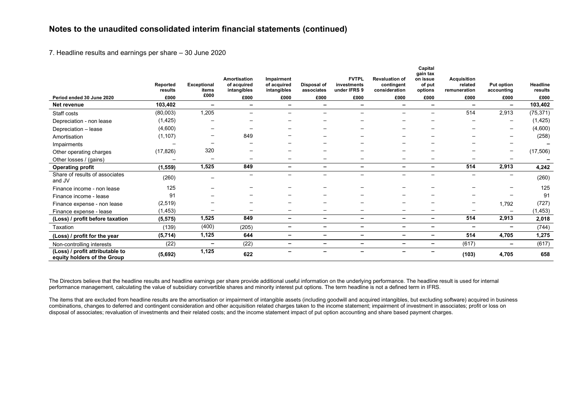7. Headline results and earnings per share – 30 June 2020

|                                                                | Reported  | <b>Exceptional</b> | Amortisation<br>of acquired | Impairment<br>of acquired | Disposal of              | <b>FVTPL</b><br>investments | <b>Revaluation of</b><br>contingent | Capital<br>gain tax<br>on issue<br>of put | <b>Acquisition</b><br>related | <b>Put option</b>        | <b>Headline</b> |
|----------------------------------------------------------------|-----------|--------------------|-----------------------------|---------------------------|--------------------------|-----------------------------|-------------------------------------|-------------------------------------------|-------------------------------|--------------------------|-----------------|
|                                                                | results   | items<br>£000      | intangibles                 | intangibles               | associates               | under IFRS 9                | consideration                       | options                                   | remuneration                  | accounting               | results         |
| Period ended 30 June 2020                                      | £000      |                    | £000                        | £000                      | £000                     | £000                        | £000                                | £000                                      | £000                          | £000                     | £000            |
| Net revenue                                                    | 103,402   | -                  | -                           |                           | $\overline{\phantom{0}}$ | -                           | $\overline{\phantom{0}}$            | -                                         | $\overline{\phantom{0}}$      | $\overline{\phantom{0}}$ | 103,402         |
| Staff costs                                                    | (80,003)  | 1,205              |                             |                           | –                        | $\overline{\phantom{0}}$    |                                     | $\qquad \qquad -$                         | 514                           | 2,913                    | (75, 371)       |
| Depreciation - non lease                                       | (1, 425)  |                    |                             |                           |                          |                             |                                     |                                           |                               | $\overline{\phantom{a}}$ | (1, 425)        |
| Depreciation - lease                                           | (4,600)   |                    |                             |                           |                          |                             |                                     |                                           |                               | $\overline{\phantom{a}}$ | (4,600)         |
| Amortisation                                                   | (1, 107)  |                    | 849                         |                           |                          |                             |                                     |                                           |                               |                          | (258)           |
| Impairments                                                    |           |                    |                             |                           |                          |                             |                                     |                                           |                               |                          |                 |
| Other operating charges                                        | (17, 826) | 320                |                             |                           |                          |                             |                                     |                                           |                               |                          | (17, 506)       |
| Other losses / (gains)                                         |           |                    |                             |                           |                          |                             |                                     |                                           |                               |                          |                 |
| <b>Operating profit</b>                                        | (1, 559)  | 1,525              | 849                         | -                         | -                        | -                           | $\overline{\phantom{0}}$            | $\overline{\phantom{0}}$                  | 514                           | 2,913                    | 4,242           |
| Share of results of associates<br>and JV                       | (260)     |                    | —                           |                           | —                        | —                           |                                     | —                                         |                               | $\overline{\phantom{m}}$ | (260)           |
| Finance income - non lease                                     | 125       |                    |                             |                           |                          |                             |                                     |                                           |                               |                          | 125             |
| Finance income - lease                                         | 91        |                    |                             |                           |                          |                             |                                     |                                           |                               |                          | 91              |
| Finance expense - non lease                                    | (2, 519)  |                    |                             |                           |                          |                             |                                     |                                           |                               | 1,792                    | (727)           |
| Finance expense - lease                                        | (1, 453)  | —                  |                             |                           | —                        |                             | $\overline{\phantom{m}}$            |                                           |                               |                          | (1, 453)        |
| (Loss) / profit before taxation                                | (5, 575)  | 1,525              | 849                         | $\overline{\phantom{0}}$  | -                        | $\overline{\phantom{0}}$    | $\overline{\phantom{0}}$            | -                                         | 514                           | 2,913                    | 2,018           |
| Taxation                                                       | (139)     | (400)              | (205)                       | -                         | Ξ.                       | -                           | -                                   | -                                         | -                             | $\overline{\phantom{0}}$ | (744)           |
| (Loss) / profit for the year                                   | (5, 714)  | 1,125              | 644                         | -                         | $\overline{\phantom{0}}$ | -                           | $\overline{\phantom{0}}$            | -                                         | 514                           | 4,705                    | 1,275           |
| Non-controlling interests                                      | (22)      | -                  | (22)                        | -                         | Ξ.                       | -                           | $\overline{\phantom{0}}$            | -                                         | (617)                         | $\overline{\phantom{a}}$ | (617)           |
| (Loss) / profit attributable to<br>equity holders of the Group | (5,692)   | 1,125              | 622                         |                           | -                        | -                           |                                     |                                           | (103)                         | 4,705                    | 658             |

The Directors believe that the headline results and headline earnings per share provide additional useful information on the underlying performance. The headline result is used for internal performance management, calculating the value of subsidiary convertible shares and minority interest put options. The term headline is not a defined term in IFRS.

The items that are excluded from headline results are the amortisation or impairment of intangible assets (including goodwill and acquired intangibles, but excluding software) acquired in business combinations, changes to deferred and contingent consideration and other acquisition related charges taken to the income statement; impairment of investment in associates; profit or loss on disposal of associates; revaluation of investments and their related costs; and the income statement impact of put option accounting and share based payment charges.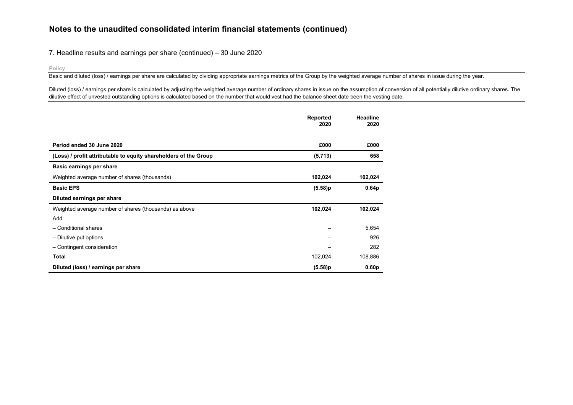#### 7. Headline results and earnings per share (continued) – 30 June 2020

#### **Policy**

Basic and diluted (loss) / earnings per share are calculated by dividing appropriate earnings metrics of the Group by the weighted average number of shares in issue during the year.

Diluted (loss) / earnings per share is calculated by adjusting the weighted average number of ordinary shares in issue on the assumption of conversion of all potentially dilutive ordinary shares. The dilutive effect of unvested outstanding options is calculated based on the number that would vest had the balance sheet date been the vesting date.

|                                                                  | Reported<br>2020 | Headline<br>2020  |
|------------------------------------------------------------------|------------------|-------------------|
|                                                                  |                  |                   |
| Period ended 30 June 2020                                        | £000             | £000              |
| (Loss) / profit attributable to equity shareholders of the Group | (5,713)          | 658               |
| Basic earnings per share                                         |                  |                   |
| Weighted average number of shares (thousands)                    | 102,024          | 102,024           |
| <b>Basic EPS</b>                                                 | (5.58)p          | 0.64 <sub>p</sub> |
| Diluted earnings per share                                       |                  |                   |
| Weighted average number of shares (thousands) as above           | 102,024          | 102,024           |
| Add                                                              |                  |                   |
| - Conditional shares                                             |                  | 5,654             |
| - Dilutive put options                                           |                  | 926               |
| - Contingent consideration                                       |                  | 282               |
| Total                                                            | 102,024          | 108,886           |
| Diluted (loss) / earnings per share                              | (5.58)p          | 0.60 <sub>p</sub> |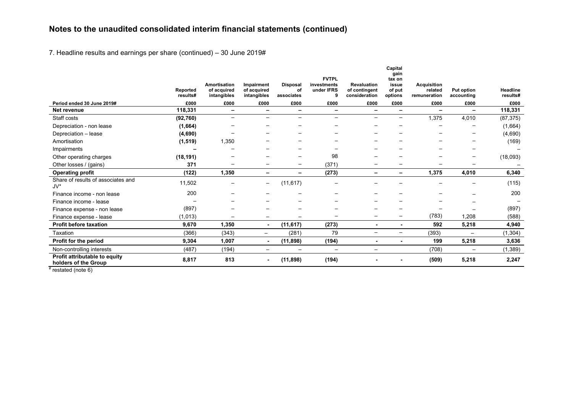7. Headline results and earnings per share (continued) – 30 June 2019#

|                                                       |                      |                                                   |                                          |                                     | <b>FVTPL</b>                   |                                                      | Capital<br>gain<br>tax on  |                                               |                                 |                      |
|-------------------------------------------------------|----------------------|---------------------------------------------------|------------------------------------------|-------------------------------------|--------------------------------|------------------------------------------------------|----------------------------|-----------------------------------------------|---------------------------------|----------------------|
|                                                       | Reported<br>results# | <b>Amortisation</b><br>of acquired<br>intangibles | Impairment<br>of acquired<br>intangibles | <b>Disposal</b><br>οf<br>associates | investments<br>under IFRS<br>9 | <b>Revaluation</b><br>of contingent<br>consideration | issue<br>of put<br>options | <b>Acquisition</b><br>related<br>remuneration | <b>Put option</b><br>accounting | Headline<br>results# |
| Period ended 30 June 2019#                            | £000                 | £000                                              | £000                                     | £000                                | £000                           | £000                                                 | £000                       | £000                                          | £000                            | £000                 |
| Net revenue                                           | 118,331              | $\overline{\phantom{a}}$                          | $\overline{\phantom{0}}$                 | -                                   | $\overline{\phantom{0}}$       | $\overline{\phantom{0}}$                             | -                          | $\overline{\phantom{0}}$                      | $\overline{\phantom{0}}$        | 118,331              |
| Staff costs                                           | (92, 760)            | $\overline{\phantom{a}}$                          | $\overline{\phantom{0}}$                 | $\overline{\phantom{0}}$            | $\overline{\phantom{0}}$       | $\overline{\phantom{0}}$                             | —                          | 1,375                                         | 4,010                           | (87, 375)            |
| Depreciation - non lease                              | (1,664)              |                                                   |                                          |                                     |                                |                                                      |                            |                                               |                                 | (1,664)              |
| Depreciation - lease                                  | (4,690)              |                                                   |                                          |                                     |                                |                                                      |                            | -                                             | -                               | (4,690)              |
| Amortisation                                          | (1, 519)             | 1,350                                             |                                          |                                     |                                |                                                      |                            |                                               |                                 | (169)                |
| Impairments                                           |                      |                                                   |                                          |                                     |                                |                                                      |                            |                                               |                                 |                      |
| Other operating charges                               | (18, 191)            |                                                   |                                          |                                     | 98                             |                                                      |                            |                                               | $\qquad \qquad -$               | (18,093)             |
| Other losses / (gains)                                | 371                  |                                                   |                                          | $\qquad \qquad -$                   | (371)                          |                                                      | -                          |                                               |                                 |                      |
| <b>Operating profit</b>                               | (122)                | 1,350                                             |                                          |                                     | (273)                          | $\overline{\phantom{0}}$                             | -                          | 1,375                                         | 4,010                           | 6,340                |
| Share of results of associates and<br>$J V^*$         | 11,502               |                                                   | $\qquad \qquad -$                        | (11, 617)                           |                                |                                                      |                            |                                               |                                 | (115)                |
| Finance income - non lease                            | 200                  |                                                   |                                          |                                     |                                |                                                      |                            |                                               | $\overline{\phantom{0}}$        | 200                  |
| Finance income - lease                                |                      |                                                   |                                          |                                     |                                |                                                      |                            |                                               |                                 |                      |
| Finance expense - non lease                           | (897)                |                                                   |                                          |                                     |                                |                                                      |                            | $\overline{\phantom{0}}$                      |                                 | (897)                |
| Finance expense - lease                               | (1,013)              |                                                   | $\overline{\phantom{m}}$                 |                                     |                                |                                                      | $\overline{\phantom{0}}$   | (783)                                         | 1,208                           | (588)                |
| <b>Profit before taxation</b>                         | 9,670                | 1,350                                             | $\sim$                                   | (11, 617)                           | (273)                          |                                                      |                            | 592                                           | 5,218                           | 4,940                |
| Taxation                                              | (366)                | (343)                                             |                                          | (281)                               | 79                             | $\overline{\phantom{0}}$                             | $\overline{\phantom{0}}$   | (393)                                         | $\overline{\phantom{m}}$        | (1, 304)             |
| Profit for the period                                 | 9,304                | 1,007                                             | $\sim$                                   | (11, 898)                           | (194)                          | ٠                                                    |                            | 199                                           | 5,218                           | 3,636                |
| Non-controlling interests                             | (487)                | (194)                                             | $\qquad \qquad -$                        | $\overline{\phantom{m}}$            | $\overline{\phantom{m}}$       | $\overline{\phantom{m}}$                             |                            | (708)                                         | $\overline{\phantom{m}}$        | (1, 389)             |
| Profit attributable to equity<br>holders of the Group | 8,817                | 813                                               | ۰                                        | (11, 898)                           | (194)                          |                                                      |                            | (509)                                         | 5,218                           | 2,247                |

 $#$  restated (note 6)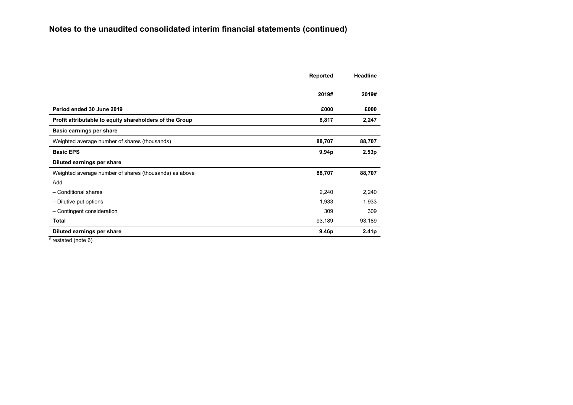|                                                         | Reported | <b>Headline</b>   |
|---------------------------------------------------------|----------|-------------------|
|                                                         |          |                   |
|                                                         | 2019#    | 2019#             |
| Period ended 30 June 2019                               | £000     | £000              |
| Profit attributable to equity shareholders of the Group | 8,817    | 2,247             |
| Basic earnings per share                                |          |                   |
| Weighted average number of shares (thousands)           | 88,707   | 88,707            |
| <b>Basic EPS</b>                                        | 9.94p    | 2.53p             |
| Diluted earnings per share                              |          |                   |
| Weighted average number of shares (thousands) as above  | 88,707   | 88,707            |
| Add                                                     |          |                   |
| - Conditional shares                                    | 2,240    | 2,240             |
| - Dilutive put options                                  | 1,933    | 1,933             |
| - Contingent consideration                              | 309      | 309               |
| Total                                                   | 93,189   | 93,189            |
| Diluted earnings per share                              | 9.46p    | 2.41 <sub>p</sub> |

 $#$  restated (note 6)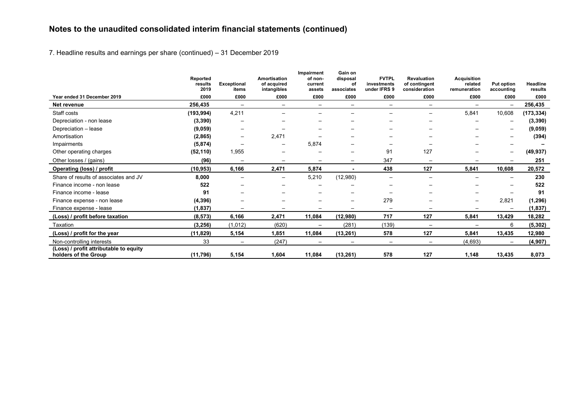7. Headline results and earnings per share (continued) – 31 December 2019

|                                                                | Reported<br>results<br>2019 | <b>Exceptional</b>       | Amortisation<br>of acquired | Impairment<br>of non-<br>current | Gain on<br>disposal<br>οf | <b>FVTPL</b><br>investments | <b>Revaluation</b><br>of contingent | <b>Acquisition</b><br>related | <b>Put option</b>        | <b>Headline</b> |
|----------------------------------------------------------------|-----------------------------|--------------------------|-----------------------------|----------------------------------|---------------------------|-----------------------------|-------------------------------------|-------------------------------|--------------------------|-----------------|
| Year ended 31 December 2019                                    | £000                        | items<br>£000            | intangibles<br>£000         | assets<br>£000                   | associates<br>£000        | under IFRS 9<br>£000        | consideration<br>£000               | remuneration<br>£000          | accounting<br>£000       | results<br>£000 |
| Net revenue                                                    | 256,435                     |                          | $\overline{\phantom{0}}$    | $\overline{\phantom{m}}$         | $\overline{\phantom{m}}$  | $\overline{\phantom{0}}$    | $\overline{\phantom{0}}$            |                               | $\overline{\phantom{m}}$ | 256,435         |
| Staff costs                                                    | (193, 994)                  | 4,211                    |                             |                                  |                           |                             |                                     | 5,841                         | 10,608                   | (173, 334)      |
| Depreciation - non lease                                       | (3, 390)                    |                          |                             |                                  |                           |                             |                                     |                               |                          | (3, 390)        |
| Depreciation - lease                                           | (9,059)                     |                          |                             |                                  |                           |                             |                                     |                               | $\overline{\phantom{0}}$ | (9,059)         |
| Amortisation                                                   | (2,865)                     |                          | 2,471                       |                                  | –                         | $\overline{\phantom{0}}$    |                                     |                               | $\overline{\phantom{0}}$ | (394)           |
| Impairments                                                    | (5, 874)                    | $\overline{\phantom{0}}$ | $\overline{\phantom{0}}$    | 5,874                            |                           |                             |                                     |                               |                          |                 |
| Other operating charges                                        | (52, 110)                   | 1,955                    | —                           | $\overline{\phantom{m}}$         | $\overline{\phantom{m}}$  | 91                          | 127                                 |                               | $\qquad \qquad -$        | (49, 937)       |
| Other losses / (gains)                                         | (96)                        | $\overline{\phantom{0}}$ | $\overline{\phantom{0}}$    |                                  | —                         | 347                         | $\overline{\phantom{0}}$            |                               |                          | 251             |
| Operating (loss) / profit                                      | (10,953)                    | 6,166                    | 2,471                       | 5,874                            |                           | 438                         | 127                                 | 5,841                         | 10,608                   | 20,572          |
| Share of results of associates and JV                          | 8,000                       | $\overline{\phantom{0}}$ | —                           | 5,210                            | (12,980)                  | $\overline{\phantom{0}}$    | $\overline{\phantom{0}}$            |                               |                          | 230             |
| Finance income - non lease                                     | 522                         |                          |                             |                                  |                           |                             |                                     |                               |                          | 522             |
| Finance income - lease                                         | 91                          |                          |                             |                                  | —                         | $\overline{\phantom{0}}$    |                                     |                               |                          | 91              |
| Finance expense - non lease                                    | (4, 396)                    |                          |                             |                                  | —                         | 279                         |                                     | $\overline{\phantom{m}}$      | 2,821                    | (1, 296)        |
| Finance expense - lease                                        | (1,837)                     |                          |                             |                                  | —                         | —                           |                                     |                               |                          | (1, 837)        |
| (Loss) / profit before taxation                                | (8, 573)                    | 6,166                    | 2,471                       | 11,084                           | (12,980)                  | 717                         | 127                                 | 5,841                         | 13,429                   | 18,282          |
| Taxation                                                       | (3, 256)                    | (1, 012)                 | (620)                       | $\qquad \qquad -$                | (281)                     | (139)                       | $\qquad \qquad -$                   |                               | 6                        | (5, 302)        |
| (Loss) / profit for the year                                   | (11, 829)                   | 5,154                    | 1,851                       | 11,084                           | (13, 261)                 | 578                         | 127                                 | 5,841                         | 13,435                   | 12,980          |
| Non-controlling interests                                      | 33                          |                          | (247)                       | $\qquad \qquad$                  |                           | $\overline{\phantom{m}}$    | $\qquad \qquad -$                   | (4,693)                       |                          | (4, 907)        |
| (Loss) / profit attributable to equity<br>holders of the Group | (11, 796)                   | 5,154                    | 1,604                       | 11,084                           | (13, 261)                 | 578                         | 127                                 | 1,148                         | 13,435                   | 8,073           |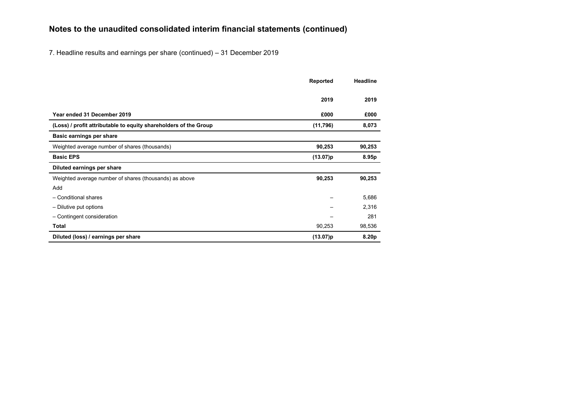7. Headline results and earnings per share (continued) – 31 December 2019

|                                                                  | Reported | <b>Headline</b> |
|------------------------------------------------------------------|----------|-----------------|
|                                                                  |          |                 |
|                                                                  | 2019     | 2019            |
|                                                                  |          |                 |
| Year ended 31 December 2019                                      | £000     | £000            |
| (Loss) / profit attributable to equity shareholders of the Group | (11,796) | 8,073           |
| Basic earnings per share                                         |          |                 |
| Weighted average number of shares (thousands)                    | 90,253   | 90,253          |
| <b>Basic EPS</b>                                                 | (13.07)p | 8.95p           |
| Diluted earnings per share                                       |          |                 |
| Weighted average number of shares (thousands) as above           | 90,253   | 90,253          |
| Add                                                              |          |                 |
| - Conditional shares                                             |          | 5,686           |
| - Dilutive put options                                           |          | 2,316           |
| - Contingent consideration                                       |          | 281             |
| <b>Total</b>                                                     | 90,253   | 98,536          |
| Diluted (loss) / earnings per share                              | (13.07)p | 8.20p           |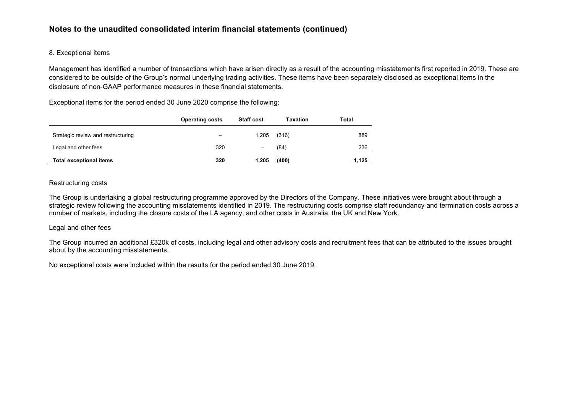## 8. Exceptional items

Management has identified a number of transactions which have arisen directly as a result of the accounting misstatements first reported in 2019. These are considered to be outside of the Group's normal underlying trading activities. These items have been separately disclosed as exceptional items in the disclosure of non-GAAP performance measures in these financial statements.

Exceptional items for the period ended 30 June 2020 comprise the following:

|                                    | <b>Operating costs</b> | <b>Staff cost</b> | Taxation | Total |
|------------------------------------|------------------------|-------------------|----------|-------|
| Strategic review and restructuring |                        | 1.205             | (316)    | 889   |
| Legal and other fees               | 320                    | -                 | (84)     | 236   |
| <b>Total exceptional items</b>     | 320                    | 1.205             | (400)    | 1,125 |

#### Restructuring costs

The Group is undertaking a global restructuring programme approved by the Directors of the Company. These initiatives were brought about through a strategic review following the accounting misstatements identified in 2019. The restructuring costs comprise staff redundancy and termination costs across a number of markets, including the closure costs of the LA agency, and other costs in Australia, the UK and New York.

## Legal and other fees

The Group incurred an additional £320k of costs, including legal and other advisory costs and recruitment fees that can be attributed to the issues brought about by the accounting misstatements.

No exceptional costs were included within the results for the period ended 30 June 2019.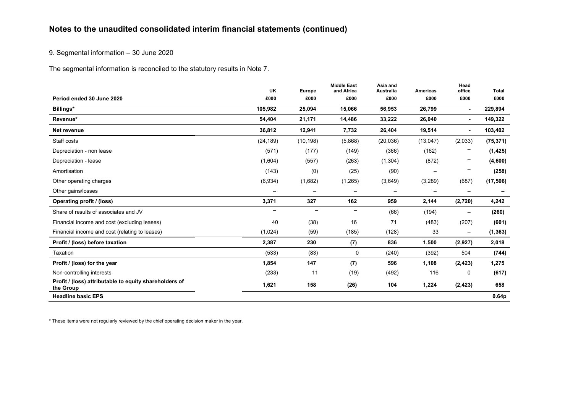9. Segmental information – 30 June 2020

The segmental information is reconciled to the statutory results in Note 7.

|                                                                     | <b>UK</b>                | <b>Europe</b> | <b>Middle East</b><br>and Africa | Asia and<br><b>Australia</b> | <b>Americas</b>          | Head<br>office           | <b>Total</b> |
|---------------------------------------------------------------------|--------------------------|---------------|----------------------------------|------------------------------|--------------------------|--------------------------|--------------|
| Period ended 30 June 2020                                           | £000                     | £000          | £000                             | £000                         | £000                     | £000                     | £000         |
| Billings*                                                           | 105,982                  | 25,094        | 15,066                           | 56,953                       | 26,799                   | ٠                        | 229,894      |
| Revenue*                                                            | 54,404                   | 21,171        | 14,486                           | 33,222                       | 26,040                   | $\blacksquare$           | 149,322      |
| Net revenue                                                         | 36,812                   | 12,941        | 7,732                            | 26,404                       | 19,514                   | ٠                        | 103,402      |
| Staff costs                                                         | (24, 189)                | (10, 198)     | (5,868)                          | (20, 036)                    | (13,047)                 | (2,033)                  | (75, 371)    |
| Depreciation - non lease                                            | (571)                    | (177)         | (149)                            | (366)                        | (162)                    |                          | (1, 425)     |
| Depreciation - lease                                                | (1,604)                  | (557)         | (263)                            | (1, 304)                     | (872)                    | $\qquad \qquad -$        | (4,600)      |
| Amortisation                                                        | (143)                    | (0)           | (25)                             | (90)                         | $\overline{\phantom{m}}$ | -                        | (258)        |
| Other operating charges                                             | (6,934)                  | (1,682)       | (1, 265)                         | (3,649)                      | (3, 289)                 | (687)                    | (17, 506)    |
| Other gains/losses                                                  | $\overline{\phantom{m}}$ | -             | $\overline{\phantom{m}}$         | $\overline{\phantom{m}}$     | $\overline{\phantom{m}}$ | $\overline{\phantom{m}}$ |              |
| Operating profit / (loss)                                           | 3,371                    | 327           | 162                              | 959                          | 2,144                    | (2,720)                  | 4,242        |
| Share of results of associates and JV                               | $\overline{\phantom{0}}$ |               |                                  | (66)                         | (194)                    | $\overline{\phantom{m}}$ | (260)        |
| Financial income and cost (excluding leases)                        | 40                       | (38)          | 16                               | 71                           | (483)                    | (207)                    | (601)        |
| Financial income and cost (relating to leases)                      | (1,024)                  | (59)          | (185)                            | (128)                        | 33                       | $\qquad \qquad -$        | (1, 363)     |
| Profit / (loss) before taxation                                     | 2,387                    | 230           | (7)                              | 836                          | 1,500                    | (2,927)                  | 2,018        |
| Taxation                                                            | (533)                    | (83)          | 0                                | (240)                        | (392)                    | 504                      | (744)        |
| Profit / (loss) for the year                                        | 1,854                    | 147           | (7)                              | 596                          | 1,108                    | (2, 423)                 | 1,275        |
| Non-controlling interests                                           | (233)                    | 11            | (19)                             | (492)                        | 116                      | 0                        | (617)        |
| Profit / (loss) attributable to equity shareholders of<br>the Group | 1,621                    | 158           | (26)                             | 104                          | 1,224                    | (2, 423)                 | 658          |
| <b>Headline basic EPS</b>                                           |                          |               |                                  |                              |                          |                          | 0.64p        |

\* These items were not regularly reviewed by the chief operating decision maker in the year.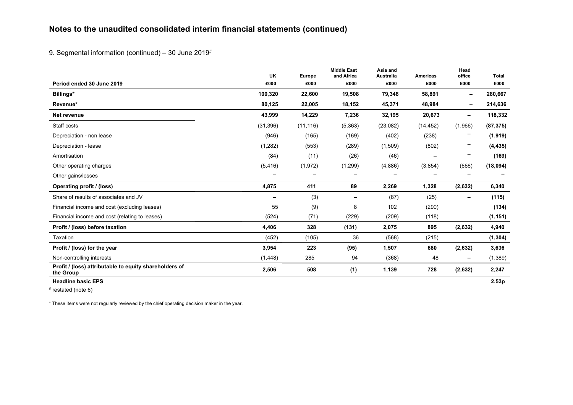9. Segmental information (continued) - 30 June 2019#

|                                                                     | <b>UK</b> | Europe    | <b>Middle East</b><br>and Africa | Asia and<br><b>Australia</b> | <b>Americas</b>          | Head<br>office | Total     |
|---------------------------------------------------------------------|-----------|-----------|----------------------------------|------------------------------|--------------------------|----------------|-----------|
| Period ended 30 June 2019                                           | £000      | £000      | £000                             | £000                         | £000                     | £000           | £000      |
| Billings*                                                           | 100,320   | 22,600    | 19,508                           | 79,348                       | 58,891                   | -              | 280,667   |
| Revenue*                                                            | 80,125    | 22,005    | 18,152                           | 45,371                       | 48,984                   | Ξ.             | 214,636   |
| Net revenue                                                         | 43,999    | 14,229    | 7,236                            | 32,195                       | 20,673                   | -              | 118,332   |
| Staff costs                                                         | (31, 396) | (11, 116) | (5, 363)                         | (23,082)                     | (14, 452)                | (1,966)        | (87, 375) |
| Depreciation - non lease                                            | (946)     | (165)     | (169)                            | (402)                        | (238)                    |                | (1,919)   |
| Depreciation - lease                                                | (1,282)   | (553)     | (289)                            | (1,509)                      | (802)                    |                | (4, 435)  |
| Amortisation                                                        | (84)      | (11)      | (26)                             | (46)                         | $\overline{\phantom{m}}$ |                | (169)     |
| Other operating charges                                             | (5, 416)  | (1, 972)  | (1,299)                          | (4,886)                      | (3,854)                  | (666)          | (18, 094) |
| Other gains/losses                                                  |           |           |                                  |                              |                          |                |           |
| <b>Operating profit / (loss)</b>                                    | 4,875     | 411       | 89                               | 2,269                        | 1,328                    | (2,632)        | 6,340     |
| Share of results of associates and JV                               | -         | (3)       | $\overline{\phantom{0}}$         | (87)                         | (25)                     | -              | (115)     |
| Financial income and cost (excluding leases)                        | 55        | (9)       | 8                                | 102                          | (290)                    |                | (134)     |
| Financial income and cost (relating to leases)                      | (524)     | (71)      | (229)                            | (209)                        | (118)                    |                | (1, 151)  |
| Profit / (loss) before taxation                                     | 4,406     | 328       | (131)                            | 2,075                        | 895                      | (2,632)        | 4,940     |
| Taxation                                                            | (452)     | (105)     | 36                               | (568)                        | (215)                    |                | (1, 304)  |
| Profit / (loss) for the year                                        | 3,954     | 223       | (95)                             | 1,507                        | 680                      | (2,632)        | 3,636     |
| Non-controlling interests                                           | (1, 448)  | 285       | 94                               | (368)                        | 48                       | —              | (1, 389)  |
| Profit / (loss) attributable to equity shareholders of<br>the Group | 2,506     | 508       | (1)                              | 1,139                        | 728                      | (2,632)        | 2,247     |
| <b>Headline basic EPS</b>                                           |           |           |                                  |                              |                          |                | 2.53p     |

 $#$  restated (note 6)

\* These items were not regularly reviewed by the chief operating decision maker in the year.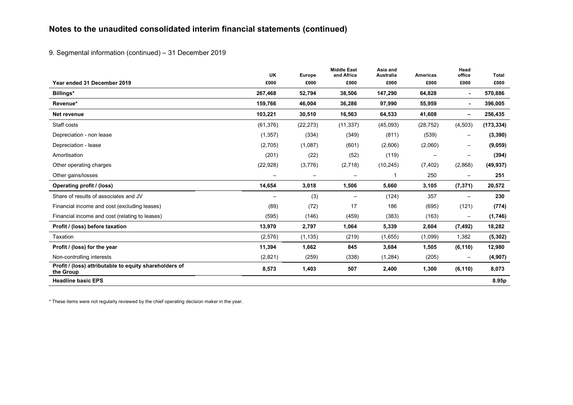9. Segmental information (continued) – 31 December 2019

|                                                                     | UK                | Europe            | <b>Middle East</b><br>and Africa | Asia and<br><b>Australia</b> | <b>Americas</b>          | Head<br>office           | <b>Total</b> |
|---------------------------------------------------------------------|-------------------|-------------------|----------------------------------|------------------------------|--------------------------|--------------------------|--------------|
| Year ended 31 December 2019                                         | £000              | £000              | £000                             | £000                         | £000                     | £000                     | £000         |
| Billings*                                                           | 267,468           | 52,794            | 38,506                           | 147,290                      | 64,828                   | $\blacksquare$           | 570,886      |
| Revenue*                                                            | 159,766           | 46,004            | 36,286                           | 97,990                       | 55,959                   | ٠                        | 396,005      |
| Net revenue                                                         | 103,221           | 30,510            | 16,563                           | 64,533                       | 41,608                   | -                        | 256,435      |
| Staff costs                                                         | (61, 376)         | (22, 273)         | (11, 337)                        | (45,093)                     | (28, 752)                | (4,503)                  | (173, 334)   |
| Depreciation - non lease                                            | (1, 357)          | (334)             | (349)                            | (811)                        | (539)                    | $\overline{\phantom{m}}$ | (3, 390)     |
| Depreciation - lease                                                | (2,705)           | (1,087)           | (601)                            | (2,606)                      | (2,060)                  | $\overline{\phantom{m}}$ | (9,059)      |
| Amortisation                                                        | (201)             | (22)              | (52)                             | (119)                        | $\overline{\phantom{0}}$ | $\overline{\phantom{m}}$ | (394)        |
| Other operating charges                                             | (22, 928)         | (3,776)           | (2,718)                          | (10, 245)                    | (7, 402)                 | (2,868)                  | (49, 937)    |
| Other gains/losses                                                  | $\qquad \qquad -$ | $\qquad \qquad -$ | $\overline{\phantom{m}}$         |                              | 250                      | $\qquad \qquad -$        | 251          |
| Operating profit / (loss)                                           | 14,654            | 3,018             | 1,506                            | 5,660                        | 3,105                    | (7, 371)                 | 20,572       |
| Share of results of associates and JV                               | $\qquad \qquad -$ | (3)               | $\overline{\phantom{m}}$         | (124)                        | 357                      | $\overline{\phantom{m}}$ | 230          |
| Financial income and cost (excluding leases)                        | (89)              | (72)              | 17                               | 186                          | (695)                    | (121)                    | (774)        |
| Financial income and cost (relating to leases)                      | (595)             | (146)             | (459)                            | (383)                        | (163)                    | $\qquad \qquad -$        | (1,746)      |
| Profit / (loss) before taxation                                     | 13,970            | 2,797             | 1,064                            | 5,339                        | 2,604                    | (7, 492)                 | 18,282       |
| Taxation                                                            | (2,576)           | (1, 135)          | (219)                            | (1,655)                      | (1,099)                  | 1,382                    | (5, 302)     |
| Profit / (loss) for the year                                        | 11,394            | 1,662             | 845                              | 3,684                        | 1,505                    | (6, 110)                 | 12,980       |
| Non-controlling interests                                           | (2,821)           | (259)             | (338)                            | (1,284)                      | (205)                    | $\qquad \qquad -$        | (4, 907)     |
| Profit / (loss) attributable to equity shareholders of<br>the Group | 8,573             | 1,403             | 507                              | 2,400                        | 1,300                    | (6, 110)                 | 8,073        |
| <b>Headline basic EPS</b>                                           |                   |                   |                                  |                              |                          |                          | 8.95p        |

\* These items were not regularly reviewed by the chief operating decision maker in the year.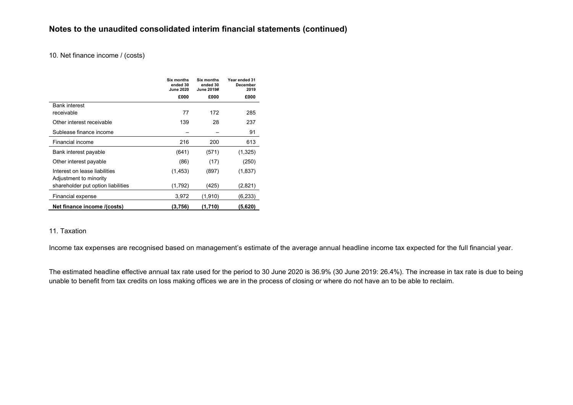#### 10. Net finance income / (costs)

|                                    | Six months<br>ended 30<br><b>June 2020</b> | Six months<br>ended 30<br>June 2019# | Year ended 31<br>December<br>2019 |
|------------------------------------|--------------------------------------------|--------------------------------------|-----------------------------------|
|                                    | £000                                       | £000                                 | £000                              |
| <b>Bank interest</b>               |                                            |                                      |                                   |
| receivable                         | 77                                         | 172                                  | 285                               |
| Other interest receivable          | 139                                        | 28                                   | 237                               |
| Sublease finance income            |                                            |                                      | 91                                |
| Financial income                   | 216                                        | 200                                  | 613                               |
| Bank interest payable              | (641)                                      | (571)                                | (1, 325)                          |
| Other interest payable             | (86)                                       | (17)                                 | (250)                             |
| Interest on lease liabilities      | (1, 453)                                   | (897)                                | (1,837)                           |
| Adjustment to minority             |                                            |                                      |                                   |
| shareholder put option liabilities | (1,792)                                    | (425)                                | (2,821)                           |
| Financial expense                  | 3,972                                      | (1,910)                              | (6,233)                           |
| Net finance income /(costs)        | (3,756)                                    | (1,710)                              | (5,620)                           |

## 11. Taxation

Income tax expenses are recognised based on management's estimate of the average annual headline income tax expected for the full financial year.

The estimated headline effective annual tax rate used for the period to 30 June 2020 is 36.9% (30 June 2019: 26.4%). The increase in tax rate is due to being unable to benefit from tax credits on loss making offices we are in the process of closing or where do not have an to be able to reclaim.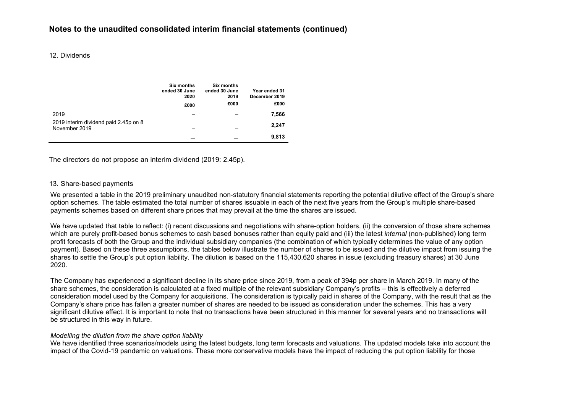#### 12. Dividends

|                                                        | Six months<br>ended 30 June<br>2020 | <b>Six months</b><br>ended 30 June<br>2019 | Year ended 31<br>December 2019 |
|--------------------------------------------------------|-------------------------------------|--------------------------------------------|--------------------------------|
|                                                        | £000                                | £000                                       | £000                           |
| 2019                                                   |                                     |                                            | 7,566                          |
| 2019 interim dividend paid 2.45p on 8<br>November 2019 |                                     |                                            | 2,247                          |
|                                                        |                                     |                                            | 9,813                          |

The directors do not propose an interim dividend (2019: 2.45p).

#### 13. Share-based payments

We presented a table in the 2019 preliminary unaudited non-statutory financial statements reporting the potential dilutive effect of the Group's share option schemes. The table estimated the total number of shares issuable in each of the next five years from the Group's multiple share-based payments schemes based on different share prices that may prevail at the time the shares are issued.

We have updated that table to reflect: (i) recent discussions and negotiations with share-option holders, (ii) the conversion of those share schemes which are purely profit-based bonus schemes to cash based bonuses rather than equity paid and (iii) the latest *internal* (non-published) long term profit forecasts of both the Group and the individual subsidiary companies (the combination of which typically determines the value of any option payment). Based on these three assumptions, the tables below illustrate the number of shares to be issued and the dilutive impact from issuing the shares to settle the Group's put option liability. The dilution is based on the 115,430,620 shares in issue (excluding treasury shares) at 30 June 2020.

The Company has experienced a significant decline in its share price since 2019, from a peak of 394p per share in March 2019. In many of the share schemes, the consideration is calculated at a fixed multiple of the relevant subsidiary Company's profits – this is effectively a deferred consideration model used by the Company for acquisitions. The consideration is typically paid in shares of the Company, with the result that as the Company's share price has fallen a greater number of shares are needed to be issued as consideration under the schemes. This has a very significant dilutive effect. It is important to note that no transactions have been structured in this manner for several years and no transactions will be structured in this way in future.

#### *Modelling the dilution from the share option liability*

We have identified three scenarios/models using the latest budgets, long term forecasts and valuations. The updated models take into account the impact of the Covid-19 pandemic on valuations. These more conservative models have the impact of reducing the put option liability for those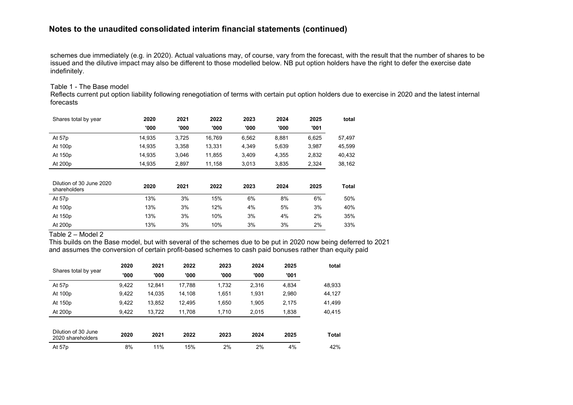schemes due immediately (e.g. in 2020). Actual valuations may, of course, vary from the forecast, with the result that the number of shares to be issued and the dilutive impact may also be different to those modelled below. NB put option holders have the right to defer the exercise date indefinitely.

#### Table 1 - The Base model

Reflects current put option liability following renegotiation of terms with certain put option holders due to exercise in 2020 and the latest internal forecasts

| Shares total by year                     | 2020   | 2021  | 2022   | 2023  | 2024  | 2025  | total  |
|------------------------------------------|--------|-------|--------|-------|-------|-------|--------|
|                                          | '000   | '000  | '000   | '000  | '000  | '001  |        |
| At 57p                                   | 14,935 | 3,725 | 16,769 | 6,562 | 8,881 | 6,625 | 57,497 |
| At 100p                                  | 14,935 | 3,358 | 13,331 | 4,349 | 5,639 | 3,987 | 45,599 |
| At 150p                                  | 14,935 | 3,046 | 11,855 | 3,409 | 4,355 | 2,832 | 40,432 |
| At 200p                                  | 14,935 | 2,897 | 11,158 | 3,013 | 3,835 | 2,324 | 38,162 |
|                                          |        |       |        |       |       |       |        |
| Dilution of 30 June 2020<br>shareholders | 2020   | 2021  | 2022   | 2023  | 2024  | 2025  | Total  |
| At 57p                                   | 13%    | 3%    | 15%    | 6%    | 8%    | 6%    | 50%    |
| At 100p                                  | 13%    | 3%    | 12%    | 4%    | 5%    | 3%    | 40%    |
| At 150p                                  | 13%    | 3%    | 10%    | 3%    | 4%    | 2%    | 35%    |
| At 200p                                  | 13%    | 3%    | 10%    | 3%    | 3%    | 2%    | 33%    |

Table 2 – Model 2

This builds on the Base model, but with several of the schemes due to be put in 2020 now being deferred to 2021 and assumes the conversion of certain profit-based schemes to cash paid bonuses rather than equity paid

|                                          | 2020  | 2021   | 2022   | 2023  | 2024  | 2025  | total        |
|------------------------------------------|-------|--------|--------|-------|-------|-------|--------------|
| Shares total by year                     | '000  | '000   | '000   | '000  | '000  | '001  |              |
| At 57p                                   | 9,422 | 12.841 | 17.788 | 1.732 | 2.316 | 4,834 | 48,933       |
| At 100p                                  | 9,422 | 14,035 | 14.108 | 1,651 | 1,931 | 2,980 | 44,127       |
| At 150p                                  | 9,422 | 13,852 | 12.495 | 1,650 | 1,905 | 2,175 | 41,499       |
| At 200p                                  | 9.422 | 13.722 | 11.708 | 1.710 | 2.015 | 1,838 | 40,415       |
|                                          |       |        |        |       |       |       |              |
| Dilution of 30 June<br>2020 shareholders | 2020  | 2021   | 2022   | 2023  | 2024  | 2025  | <b>Total</b> |
| At 57p                                   | 8%    | 11%    | 15%    | 2%    | 2%    | 4%    | 42%          |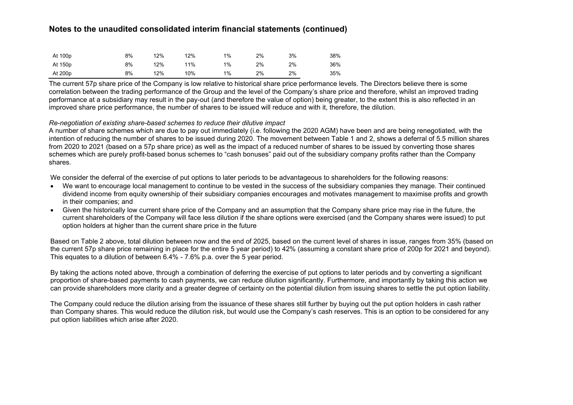| At 100p | 8% | 12% | 12% | 1% | 2% | 3% | 38% |
|---------|----|-----|-----|----|----|----|-----|
| At 150p | 8% | 12% | 11% | 1% | 2% | 2% | 36% |
| At 200p | 8% | 12% | 10% | 1% | 2% | 2% | 35% |

The current 57p share price of the Company is low relative to historical share price performance levels. The Directors believe there is some correlation between the trading performance of the Group and the level of the Company's share price and therefore, whilst an improved trading performance at a subsidiary may result in the pay-out (and therefore the value of option) being greater, to the extent this is also reflected in an improved share price performance, the number of shares to be issued will reduce and with it, therefore, the dilution.

#### *Re-negotiation of existing share-based schemes to reduce their dilutive impact*

A number of share schemes which are due to pay out immediately (i.e. following the 2020 AGM) have been and are being renegotiated, with the intention of reducing the number of shares to be issued during 2020. The movement between Table 1 and 2, shows a deferral of 5.5 million shares from 2020 to 2021 (based on a 57p share price) as well as the impact of a reduced number of shares to be issued by converting those shares schemes which are purely profit-based bonus schemes to "cash bonuses" paid out of the subsidiary company profits rather than the Company shares.

We consider the deferral of the exercise of put options to later periods to be advantageous to shareholders for the following reasons:

- We want to encourage local management to continue to be vested in the success of the subsidiary companies they manage. Their continued dividend income from equity ownership of their subsidiary companies encourages and motivates management to maximise profits and growth in their companies; and
- Given the historically low current share price of the Company and an assumption that the Company share price may rise in the future, the current shareholders of the Company will face less dilution if the share options were exercised (and the Company shares were issued) to put option holders at higher than the current share price in the future

Based on Table 2 above, total dilution between now and the end of 2025, based on the current level of shares in issue, ranges from 35% (based on the current 57p share price remaining in place for the entire 5 year period) to 42% (assuming a constant share price of 200p for 2021 and beyond). This equates to a dilution of between 6.4% - 7.6% p.a. over the 5 year period.

By taking the actions noted above, through a combination of deferring the exercise of put options to later periods and by converting a significant proportion of share-based payments to cash payments, we can reduce dilution significantly. Furthermore, and importantly by taking this action we can provide shareholders more clarity and a greater degree of certainty on the potential dilution from issuing shares to settle the put option liability.

The Company could reduce the dilution arising from the issuance of these shares still further by buying out the put option holders in cash rather than Company shares. This would reduce the dilution risk, but would use the Company's cash reserves. This is an option to be considered for any put option liabilities which arise after 2020.